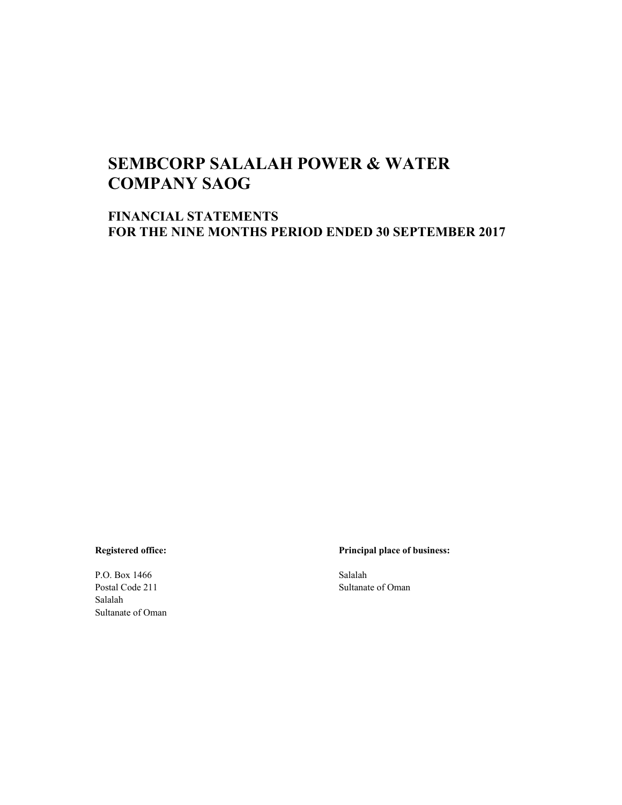# **SEMBCORP SALALAH POWER & WATER COMPANY SAOG**

# **FINANCIAL STATEMENTS FOR THE NINE MONTHS PERIOD ENDED 30 SEPTEMBER 2017**

P.O. Box 1466 Salalah<br>Postal Code 211 Sultanat Salalah Sultanate of Oman

### Registered office: **Principal place of business:**

Sultanate of Oman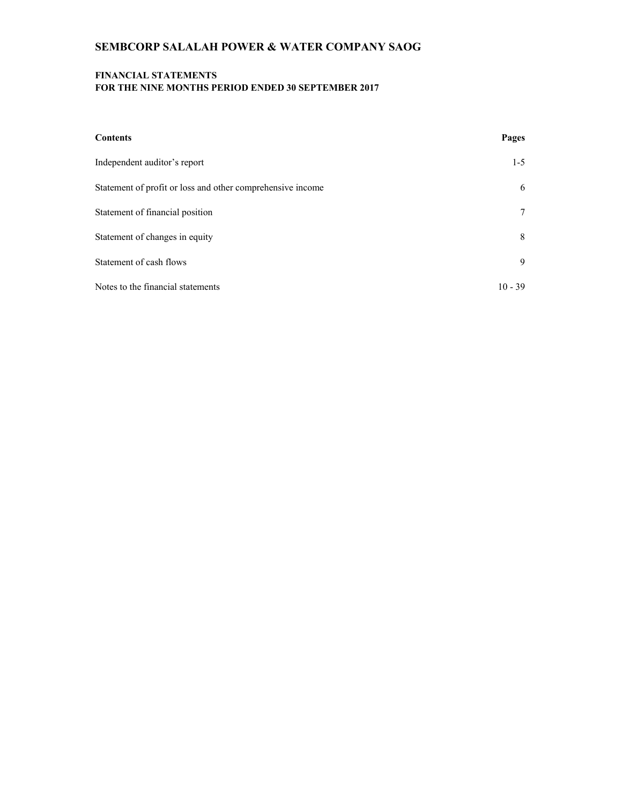# **SEMBCORP SALALAH POWER & WATER COMPANY SAOG**

# **FINANCIAL STATEMENTS FOR THE NINE MONTHS PERIOD ENDED 30 SEPTEMBER 2017**

| <b>Contents</b>                                            | Pages     |
|------------------------------------------------------------|-----------|
| Independent auditor's report                               | $1 - 5$   |
| Statement of profit or loss and other comprehensive income | 6         |
| Statement of financial position                            | 7         |
| Statement of changes in equity                             | 8         |
| Statement of cash flows                                    | 9         |
| Notes to the financial statements                          | $10 - 39$ |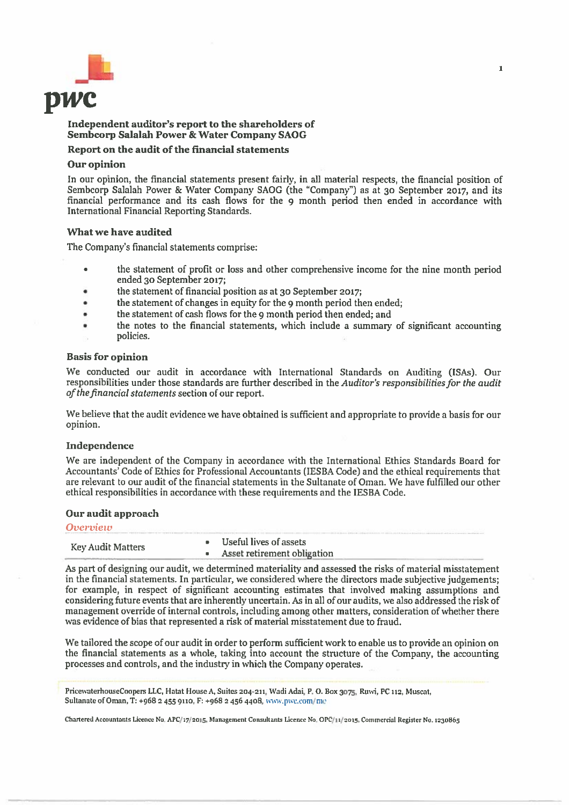

### Report on the audit of the financial statements

# **Our opinion**

In our opinion, the financial statements present fairly, in all material respects, the financial position of Sembcorp Salalah Power & Water Company SAOG (the "Company") as at 30 September 2017, and its financial performance and its cash flows for the 9 month period then ended in accordance with **International Financial Reporting Standards.** 

## What we have audited

The Company's financial statements comprise:

- the statement of profit or loss and other comprehensive income for the nine month period ended 30 September 2017;
- the statement of financial position as at 30 September 2017; ä
- the statement of changes in equity for the 9 month period then ended: ٠
- the statement of cash flows for the 9 month period then ended; and ¥
- the notes to the financial statements, which include a summary of significant accounting policies.

### **Basis for opinion**

We conducted our audit in accordance with International Standards on Auditing (ISAs). Our responsibilities under those standards are further described in the Auditor's responsibilities for the audit of the financial statements section of our report.

We believe that the audit evidence we have obtained is sufficient and appropriate to provide a basis for our opinion.

### Independence

We are independent of the Company in accordance with the International Ethics Standards Board for Accountants' Code of Ethics for Professional Accountants (IESBA Code) and the ethical requirements that are relevant to our audit of the financial statements in the Sultanate of Oman. We have fulfilled our other ethical responsibilities in accordance with these requirements and the IESBA Code.

### Our audit approach

### *Overview*

| <b>Key Audit Matters</b> | • Useful lives of assets    |
|--------------------------|-----------------------------|
|                          | Asset retirement obligation |

As part of designing our audit, we determined materiality and assessed the risks of material misstatement in the financial statements. In particular, we considered where the directors made subjective judgements; for example, in respect of significant accounting estimates that involved making assumptions and considering future events that are inherently uncertain. As in all of our audits, we also addressed the risk of management override of internal controls, including among other matters, consideration of whether there was evidence of bias that represented a risk of material misstatement due to fraud.

We tailored the scope of our audit in order to perform sufficient work to enable us to provide an opinion on the financial statements as a whole, taking into account the structure of the Company, the accounting processes and controls, and the industry in which the Company operates.

PricewaterhouseCoopers LLC, Hatat House A, Suites 204-211, Wadi Adai, P. O. Box 3075, Ruwi, PC 112, Muscat, Sultanate of Oman, T: +968 2 455 9110, F: +968 2 456 4408, www.pwc.com/me

Chartered Accountants Licence No. APC/17/2015, Management Consultants Licence No. OPC/11/2015, Commercial Register No. 1230865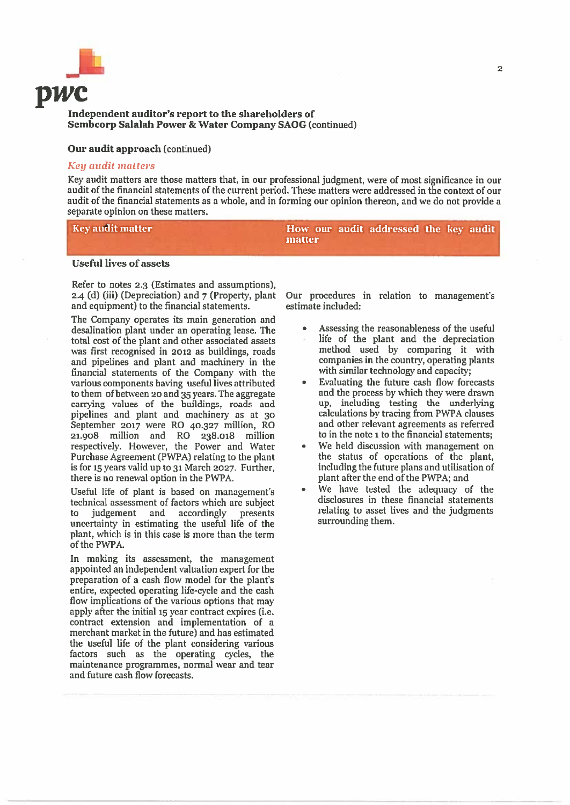

### **Our audit approach (continued)**

### **Key audit matters**

Key audit matters are those matters that, in our professional judgment, were of most significance in our audit of the financial statements of the current period. These matters were addressed in the context of our audit of the financial statements as a whole, and in forming our opinion thereon, and we do not provide a separate opinion on these matters.

### **Key audit matter**

# How our audit addressed the key audit matter

### **Useful lives of assets**

Refer to notes 2.3 (Estimates and assumptions), 2.4 (d) (iii) (Depreciation) and 7 (Property, plant and equipment) to the financial statements.

The Company operates its main generation and desalination plant under an operating lease. The total cost of the plant and other associated assets was first recognised in 2012 as buildings, roads and pipelines and plant and machinery in the financial statements of the Company with the various components having useful lives attributed to them of between 20 and 35 years. The aggregate carrying values of the buildings, roads and pipelines and plant and machinery as at 30 September 2017 were RO 40.327 million, RO 21.908 million and RO 238.018 million respectively. However, the Power and Water Purchase Agreement (PWPA) relating to the plant is for 15 years valid up to 31 March 2027. Further, there is no renewal option in the PWPA.

Useful life of plant is based on management's technical assessment of factors which are subject judgement and accordingly presents to uncertainty in estimating the useful life of the plant, which is in this case is more than the term of the PWPA.

In making its assessment, the management appointed an independent valuation expert for the preparation of a cash flow model for the plant's entire, expected operating life-cycle and the cash flow implications of the various options that may apply after the initial 15 year contract expires (i.e. contract extension and implementation of a merchant market in the future) and has estimated the useful life of the plant considering various factors such as the operating cycles, the maintenance programmes, normal wear and tear and future cash flow forecasts.

Our procedures in relation to management's estimate included:

- Assessing the reasonableness of the useful life of the plant and the depreciation method used by comparing it with companies in the country, operating plants with similar technology and capacity;
- Evaluating the future cash flow forecasts and the process by which they were drawn up, including testing the underlying calculations by tracing from PWPA clauses and other relevant agreements as referred to in the note 1 to the financial statements;
- We held discussion with management on the status of operations of the plant, including the future plans and utilisation of plant after the end of the PWPA; and
- We have tested the adequacy of the disclosures in these financial statements relating to asset lives and the judgments surrounding them.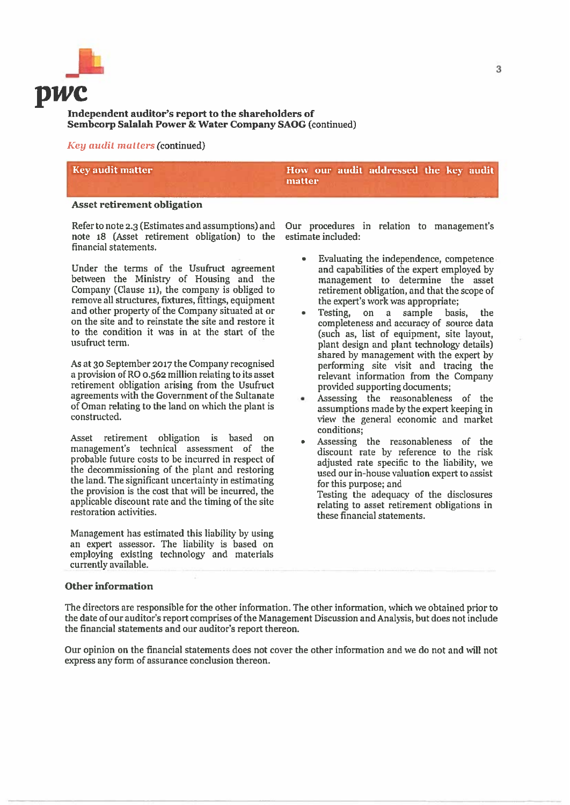

### **Key audit matters (continued)**

# **Key audit matter**

How our audit addressed the key audit matter

# **Asset retirement obligation**

note 18 (Asset retirement obligation) to the financial statements.

Under the terms of the Usufruct agreement between the Ministry of Housing and the Company (Clause 11), the company is obliged to remove all structures, fixtures, fittings, equipment and other property of the Company situated at or on the site and to reinstate the site and restore it to the condition it was in at the start of the usufruct term.

As at 30 September 2017 the Company recognised a provision of RO 0.562 million relating to its asset retirement obligation arising from the Usufruct agreements with the Government of the Sultanate of Oman relating to the land on which the plant is constructed.

Asset retirement obligation is based  $\alpha$ n management's technical assessment of the probable future costs to be incurred in respect of the decommissioning of the plant and restoring the land. The significant uncertainty in estimating the provision is the cost that will be incurred, the applicable discount rate and the timing of the site restoration activities.

Management has estimated this liability by using an expert assessor. The liability is based on employing existing technology and materials currently available.

# Refer to note 2.3 (Estimates and assumptions) and Our procedures in relation to management's estimate included:

- Evaluating the independence, competence  $\bullet$ and capabilities of the expert employed by management to determine the asset retirement obligation, and that the scope of the expert's work was appropriate;
- Testing, on a sample basis, the completeness and accuracy of source data (such as, list of equipment, site layout, plant design and plant technology details) shared by management with the expert by performing site visit and tracing the relevant information from the Company provided supporting documents;
- Assessing the reasonableness of the assumptions made by the expert keeping in view the general economic and market conditions;
- Assessing the reasonableness of the discount rate by reference to the risk adjusted rate specific to the liability, we used our in-house valuation expert to assist for this purpose; and

Testing the adequacy of the disclosures relating to asset retirement obligations in these financial statements.

## **Other information**

The directors are responsible for the other information. The other information, which we obtained prior to the date of our auditor's report comprises of the Management Discussion and Analysis, but does not include the financial statements and our auditor's report thereon.

Our opinion on the financial statements does not cover the other information and we do not and will not express any form of assurance conclusion thereon.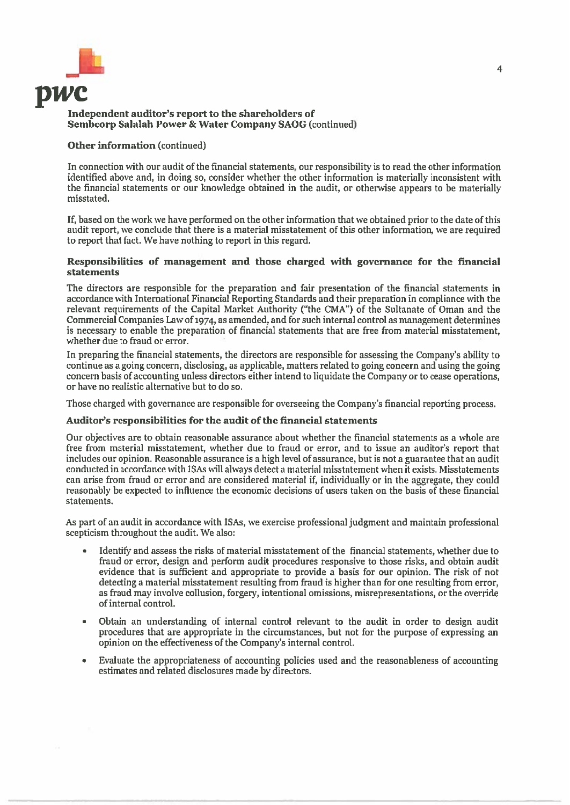

## Other information (continued)

In connection with our audit of the financial statements, our responsibility is to read the other information identified above and, in doing so, consider whether the other information is materially inconsistent with the financial statements or our knowledge obtained in the audit, or otherwise appears to be materially misstated.

If, based on the work we have performed on the other information that we obtained prior to the date of this audit report, we conclude that there is a material misstatement of this other information, we are required to report that fact. We have nothing to report in this regard.

## Responsibilities of management and those charged with governance for the financial **statements**

The directors are responsible for the preparation and fair presentation of the financial statements in accordance with International Financial Reporting Standards and their preparation in compliance with the relevant requirements of the Capital Market Authority ("the CMA") of the Sultanate of Oman and the Commercial Companies Law of 1974, as amended, and for such internal control as management determines is necessary to enable the preparation of financial statements that are free from material misstatement, whether due to fraud or error.

In preparing the financial statements, the directors are responsible for assessing the Company's ability to continue as a going concern, disclosing, as applicable, matters related to going concern and using the going concern basis of accounting unless directors either intend to liquidate the Company or to cease operations, or have no realistic alternative but to do so.

Those charged with governance are responsible for overseeing the Company's financial reporting process.

# Auditor's responsibilities for the audit of the financial statements

Our objectives are to obtain reasonable assurance about whether the financial statements as a whole are free from material misstatement, whether due to fraud or error, and to issue an auditor's report that includes our opinion. Reasonable assurance is a high level of assurance, but is not a guarantee that an audit conducted in accordance with ISAs will always detect a material misstatement when it exists. Misstatements can arise from fraud or error and are considered material if, individually or in the aggregate, they could reasonably be expected to influence the economic decisions of users taken on the basis of these financial statements.

As part of an audit in accordance with ISAs, we exercise professional judgment and maintain professional scepticism throughout the audit. We also:

- Identify and assess the risks of material misstatement of the financial statements, whether due to fraud or error, design and perform audit procedures responsive to those risks, and obtain audit evidence that is sufficient and appropriate to provide a basis for our opinion. The risk of not detecting a material misstatement resulting from fraud is higher than for one resulting from error, as fraud may involve collusion, forgery, intentional omissions, misrepresentations, or the override of internal control.
- Obtain an understanding of internal control relevant to the audit in order to design audit procedures that are appropriate in the circumstances, but not for the purpose of expressing an opinion on the effectiveness of the Company's internal control.
- Evaluate the appropriateness of accounting policies used and the reasonableness of accounting  $\bullet$ estimates and related disclosures made by directors.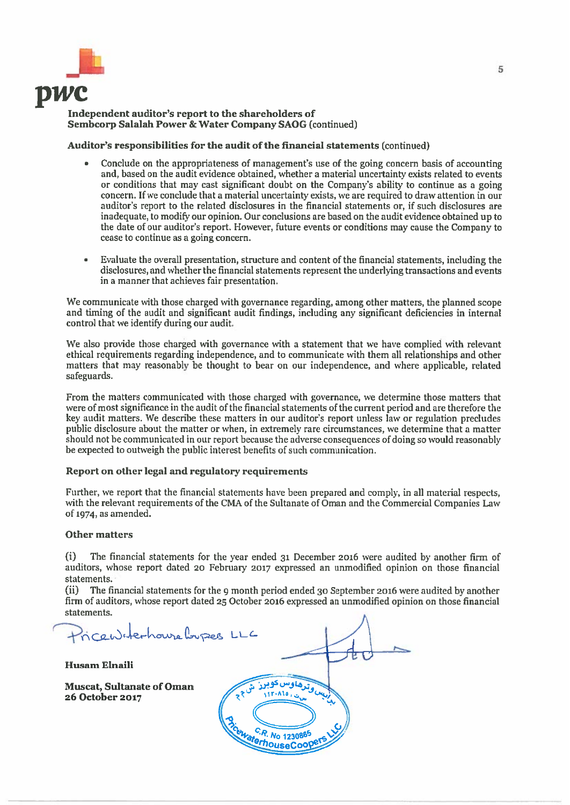

# Auditor's responsibilities for the audit of the financial statements (continued)

- Conclude on the appropriateness of management's use of the going concern basis of accounting and, based on the audit evidence obtained, whether a material uncertainty exists related to events or conditions that may cast significant doubt on the Company's ability to continue as a going concern. If we conclude that a material uncertainty exists, we are required to draw attention in our auditor's report to the related disclosures in the financial statements or, if such disclosures are inadequate, to modify our opinion. Our conclusions are based on the audit evidence obtained up to the date of our auditor's report. However, future events or conditions may cause the Company to cease to continue as a going concern.
- Evaluate the overall presentation, structure and content of the financial statements, including the disclosures, and whether the financial statements represent the underlying transactions and events in a manner that achieves fair presentation.

We communicate with those charged with governance regarding, among other matters, the planned scope and timing of the audit and significant audit findings, including any significant deficiencies in internal control that we identify during our audit.

We also provide those charged with governance with a statement that we have complied with relevant ethical requirements regarding independence, and to communicate with them all relationships and other matters that may reasonably be thought to bear on our independence, and where applicable, related safeguards.

From the matters communicated with those charged with governance, we determine those matters that were of most significance in the audit of the financial statements of the current period and are therefore the key audit matters. We describe these matters in our auditor's report unless law or regulation precludes public disclosure about the matter or when, in extremely rare circumstances, we determine that a matter should not be communicated in our report because the adverse consequences of doing so would reasonably be expected to outweigh the public interest benefits of such communication.

## Report on other legal and regulatory requirements

Further, we report that the financial statements have been prepared and comply, in all material respects, with the relevant requirements of the CMA of the Sultanate of Oman and the Commercial Companies Law of 1974, as amended.

## **Other matters**

The financial statements for the year ended 31 December 2016 were audited by another firm of  $(i)$ auditors, whose report dated 20 February 2017 expressed an unmodified opinion on those financial statements.

(ii) The financial statements for the 9 month period ended 30 September 2016 were audited by another firm of auditors, whose report dated 25 October 2016 expressed an unmodified opinion on those financial statements.

Pricewaterhouse burges LLC **Husam Elnaili** کو در خ **Muscat, Sultanate of Oman** 157-614 26 October 2017 C.R. No 1230865 ewatern. No 1230au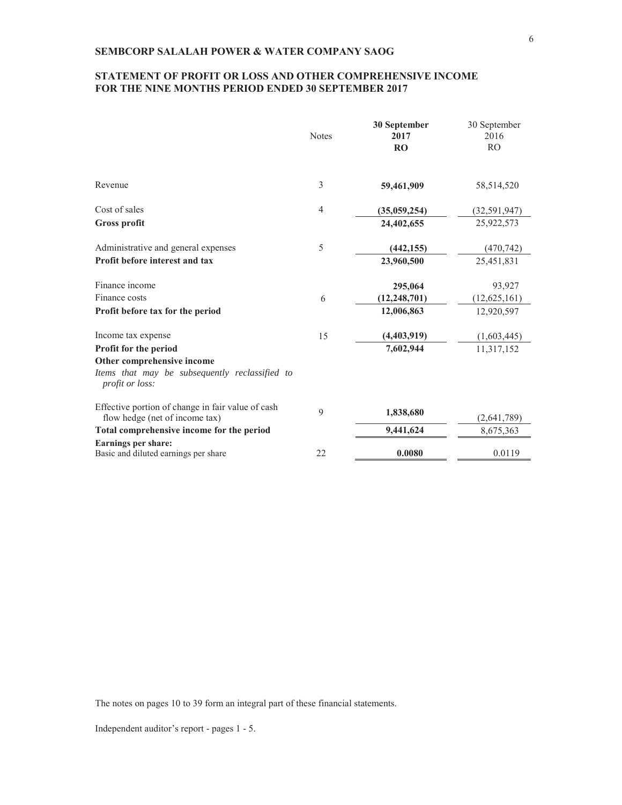# **STATEMENT OF PROFIT OR LOSS AND OTHER COMPREHENSIVE INCOME FOR THE NINE MONTHS PERIOD ENDED 30 SEPTEMBER 2017**

|                                                                                                 | <b>Notes</b>   | 30 September<br>2017<br>RO | 30 September<br>2016<br><b>RO</b> |
|-------------------------------------------------------------------------------------------------|----------------|----------------------------|-----------------------------------|
| Revenue                                                                                         | 3              | 59,461,909                 | 58,514,520                        |
| Cost of sales                                                                                   | $\overline{4}$ | (35,059,254)               | (32, 591, 947)                    |
| <b>Gross profit</b>                                                                             |                | 24,402,655                 | 25,922,573                        |
| Administrative and general expenses                                                             | 5              | (442, 155)                 | (470, 742)                        |
| Profit before interest and tax                                                                  |                | 23,960,500                 | 25,451,831                        |
| Finance income                                                                                  |                | 295,064                    | 93,927                            |
| Finance costs                                                                                   | 6              | (12, 248, 701)             | (12, 625, 161)                    |
| Profit before tax for the period                                                                |                | 12,006,863                 | 12,920,597                        |
| Income tax expense                                                                              | 15             | (4,403,919)                | (1,603,445)                       |
| Profit for the period                                                                           |                | 7,602,944                  | 11,317,152                        |
| Other comprehensive income<br>Items that may be subsequently reclassified to<br>profit or loss: |                |                            |                                   |
| Effective portion of change in fair value of cash<br>flow hedge (net of income tax)             | 9              | 1,838,680                  | (2,641,789)                       |
| Total comprehensive income for the period                                                       |                | 9,441,624                  | 8,675,363                         |
| <b>Earnings per share:</b><br>Basic and diluted earnings per share                              | 22             | 0.0080                     | 0.0119                            |

The notes on pages 10 to 39 form an integral part of these financial statements.

Independent auditor's report - pages 1 - 5.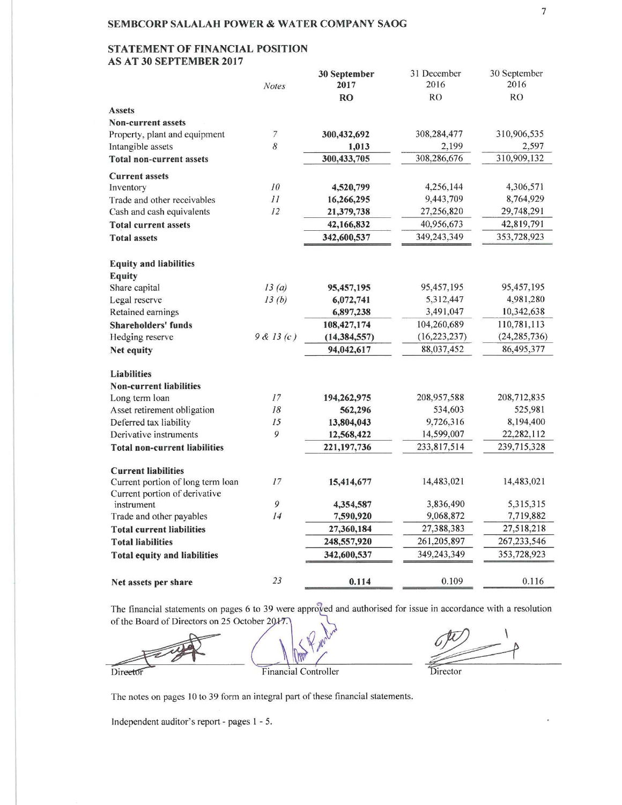# **SEMBCORP SALALAH POWER & WATER COMPANY SAOG**

# STATEMENT OF FINANCIAL POSITION AS AT 30 SEPTEMBER 2017

|                                      |                     | 30 September         | 31 December<br>2016  | 30 September<br>2016 |
|--------------------------------------|---------------------|----------------------|----------------------|----------------------|
|                                      | <b>Notes</b>        | 2017                 |                      |                      |
|                                      |                     | <b>RO</b>            | R <sub>O</sub>       | R <sub>O</sub>       |
| <b>Assets</b>                        |                     |                      |                      |                      |
| Non-current assets                   |                     |                      |                      |                      |
| Property, plant and equipment        | $\overline{7}$<br>8 | 300,432,692          | 308,284,477<br>2,199 | 310,906,535<br>2,597 |
| Intangible assets                    |                     | 1,013<br>300,433,705 | 308,286,676          | 310,909,132          |
| <b>Total non-current assets</b>      |                     |                      |                      |                      |
| <b>Current assets</b>                |                     |                      |                      |                      |
| Inventory                            | 10                  | 4,520,799            | 4,256,144            | 4,306,571            |
| Trade and other receivables          | $_{11}$             | 16,266,295           | 9,443,709            | 8,764,929            |
| Cash and cash equivalents            | 12                  | 21,379,738           | 27,256,820           | 29,748,291           |
| <b>Total current assets</b>          |                     | 42,166,832           | 40,956,673           | 42,819,791           |
| <b>Total assets</b>                  |                     | 342,600,537          | 349,243,349          | 353,728,923          |
|                                      |                     |                      |                      |                      |
| <b>Equity and liabilities</b>        |                     |                      |                      |                      |
| <b>Equity</b>                        |                     |                      |                      |                      |
| Share capital                        | 13(a)               | 95,457,195           | 95,457,195           | 95,457,195           |
| Legal reserve                        | 13(b)               | 6,072,741            | 5,312,447            | 4,981,280            |
| Retained earnings                    |                     | 6,897,238            | 3,491,047            | 10,342,638           |
| Shareholders' funds                  |                     | 108,427,174          | 104,260,689          | 110,781,113          |
| Hedging reserve                      | 9 & 13(c)           | (14, 384, 557)       | (16, 223, 237)       | (24, 285, 736)       |
| Net equity                           |                     | 94,042,617           | 88,037,452           | 86,495,377           |
|                                      |                     |                      |                      |                      |
| <b>Liabilities</b>                   |                     |                      |                      |                      |
| <b>Non-current liabilities</b>       |                     |                      |                      |                      |
| Long term loan                       | 17                  | 194,262,975          | 208,957,588          | 208,712,835          |
| Asset retirement obligation          | 18                  | 562,296              | 534,603              | 525,981              |
| Deferred tax liability               | 15                  | 13,804,043           | 9,726,316            | 8,194,400            |
| Derivative instruments               | 9                   | 12,568,422           | 14,599,007           | 22,282,112           |
| <b>Total non-current liabilities</b> |                     | 221,197,736          | 233,817,514          | 239,715,328          |
| <b>Current liabilities</b>           |                     |                      |                      |                      |
| Current portion of long term loan    | 17                  | 15,414,677           | 14,483,021           | 14,483,021           |
| Current portion of derivative        |                     |                      |                      |                      |
| instrument                           | 9                   | 4,354,587            | 3,836,490            | 5,315,315            |
| Trade and other payables             | 14                  | 7,590,920            | 9,068,872            | 7,719,882            |
| <b>Total current liabilities</b>     |                     | 27,360,184           | 27,388,383           | 27,518,218           |
| <b>Total liabilities</b>             |                     | 248,557,920          | 261,205,897          | 267,233,546          |
| <b>Total equity and liabilities</b>  |                     | 342,600,537          | 349,243,349          | 353,728,923          |
|                                      |                     |                      |                      |                      |
| Net assets per share                 | 23                  | 0.114                | 0.109                | 0.116                |

The financial statements on pages 6 to 39 were approved and authorised for issue in accordance with a resolution of the Board of Directors on 25 October 2017.

Director Financial Controller

Director

The notes on pages 10 to 39 form an integral part of these financial statements.

Independent auditor's report - pages 1 - 5.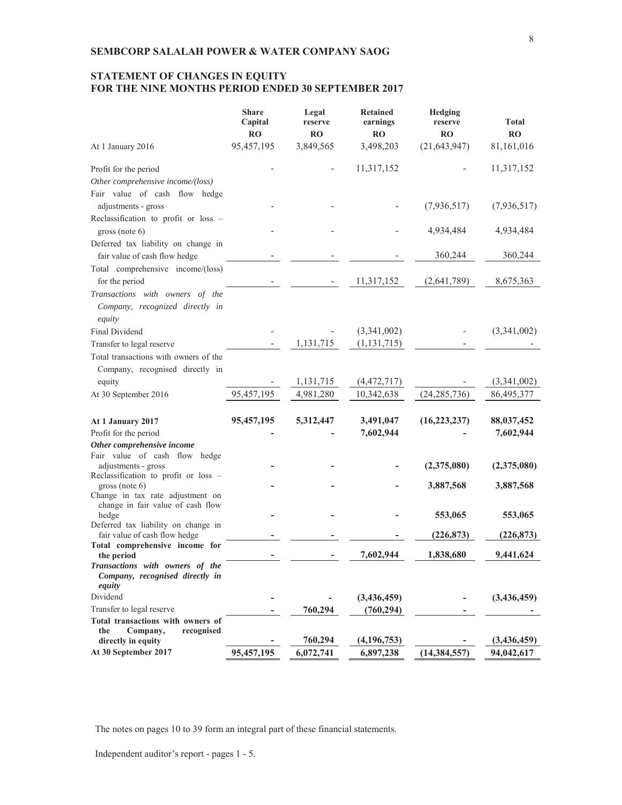# **STATEMENT OF CHANGES IN EQUITY FOR THE NINE MONTHS PERIOD ENDED 30 SEPTEMBER 2017**

|                                                                                                | <b>Share</b><br>Capital<br><b>RO</b> | Legal<br>reserve<br>RO | <b>Retained</b><br>earnings<br>RO | Hedging<br>reserve<br>RO | <b>Total</b><br>RO |
|------------------------------------------------------------------------------------------------|--------------------------------------|------------------------|-----------------------------------|--------------------------|--------------------|
| At 1 January 2016                                                                              | 95,457,195                           | 3,849,565              | 3,498,203                         | (21, 643, 947)           | 81,161,016         |
| Profit for the period<br>Other comprehensive income/(loss)                                     |                                      |                        | 11,317,152                        |                          | 11,317,152         |
| Fair value of cash flow hedge<br>adjustments - gross<br>Reclassification to profit or loss -   |                                      |                        |                                   | (7,936,517)              | (7,936,517)        |
| gross (note 6)                                                                                 |                                      |                        |                                   | 4,934,484                | 4,934,484          |
| Deferred tax liability on change in<br>fair value of cash flow hedge                           |                                      |                        |                                   | 360,244                  | 360,244            |
| Total comprehensive income/(loss)<br>for the period                                            |                                      |                        | 11,317,152                        | (2,641,789)              | 8,675,363          |
| Transactions with owners of the<br>Company, recognized directly in<br>equity                   |                                      |                        |                                   |                          |                    |
| Final Dividend                                                                                 |                                      |                        | (3,341,002)                       |                          | (3,341,002)        |
| Transfer to legal reserve                                                                      |                                      | 1,131,715              | (1, 131, 715)                     |                          |                    |
| Total transactions with owners of the                                                          |                                      |                        |                                   |                          |                    |
| Company, recognised directly in                                                                |                                      |                        |                                   |                          |                    |
| equity                                                                                         |                                      | 1,131,715              | (4,472,717)                       |                          | (3,341,002)        |
| At 30 September 2016                                                                           | 95,457,195                           | 4,981,280              | 10,342,638                        | (24, 285, 736)           | 86,495,377         |
| At 1 January 2017                                                                              | 95,457,195                           | 5,312,447              | 3,491,047                         | (16, 223, 237)           | 88,037,452         |
| Profit for the period                                                                          |                                      |                        | 7,602,944                         |                          | 7,602,944          |
| Other comprehensive income                                                                     |                                      |                        |                                   |                          |                    |
| Fair value of cash flow hedge<br>adjustments - gross<br>Reclassification to profit or loss -   |                                      |                        |                                   | (2,375,080)              | (2,375,080)        |
| $\text{gross} \left( \text{note} \left( 6 \right) \right)$<br>Change in tax rate adjustment on |                                      |                        |                                   | 3,887,568                | 3,887,568          |
| change in fair value of cash flow<br>hedge                                                     |                                      |                        |                                   | 553,065                  | 553,065            |
| Deferred tax liability on change in<br>fair value of cash flow hedge                           |                                      |                        |                                   | (226, 873)               | (226, 873)         |
| Total comprehensive income for<br>the period<br>Transactions with owners of the                |                                      |                        | 7,602,944                         | 1,838,680                | 9,441,624          |
| Company, recognised directly in<br>equity                                                      |                                      |                        |                                   |                          |                    |
| Dividend                                                                                       |                                      |                        | (3,436,459)                       |                          | (3,436,459)        |
| Transfer to legal reserve                                                                      |                                      | 760,294                | (760, 294)                        |                          |                    |
| Total transactions with owners of<br>Company,<br>recognised<br>the                             |                                      |                        |                                   |                          |                    |
| directly in equity<br>At 30 September 2017                                                     |                                      | 760,294                | (4, 196, 753)                     |                          | (3,436,459)        |
|                                                                                                | 95,457,195                           | 6,072,741              | 6,897,238                         | (14, 384, 557)           | 94,042,617         |

The notes on pages 10 to 39 form an integral part of these financial statements.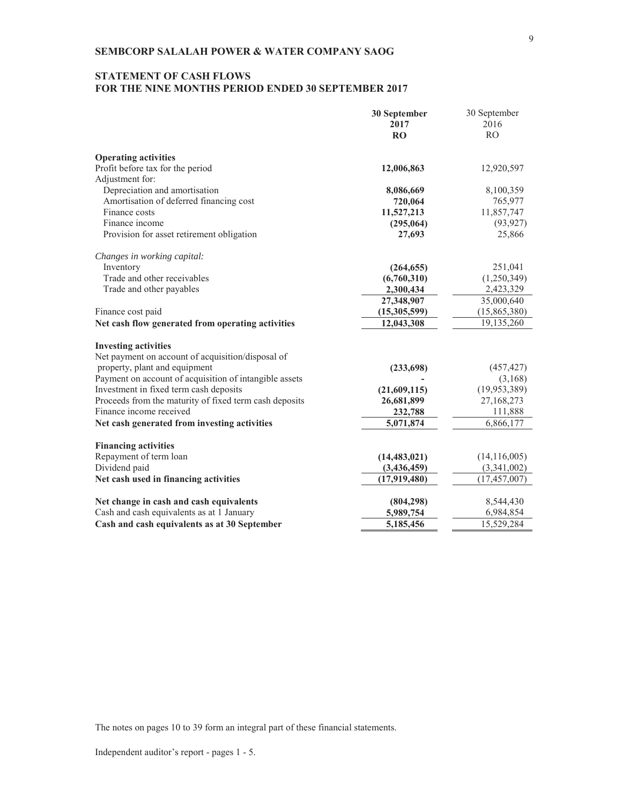# **STATEMENT OF CASH FLOWS FOR THE NINE MONTHS PERIOD ENDED 30 SEPTEMBER 2017**

|                                                        | 30 September<br>2017<br>RO | 30 September<br>2016<br><b>RO</b> |
|--------------------------------------------------------|----------------------------|-----------------------------------|
| <b>Operating activities</b>                            |                            |                                   |
| Profit before tax for the period                       | 12,006,863                 | 12,920,597                        |
| Adjustment for:                                        |                            |                                   |
| Depreciation and amortisation                          | 8,086,669                  | 8,100,359                         |
| Amortisation of deferred financing cost                | 720,064                    | 765,977                           |
| Finance costs                                          | 11,527,213                 | 11,857,747                        |
| Finance income                                         | (295,064)                  | (93, 927)                         |
| Provision for asset retirement obligation              | 27,693                     | 25,866                            |
| Changes in working capital:                            |                            |                                   |
| Inventory                                              | (264, 655)                 | 251,041                           |
| Trade and other receivables                            | (6,760,310)                | (1,250,349)                       |
| Trade and other payables                               | 2,300,434                  | 2,423,329                         |
|                                                        | 27,348,907                 | 35,000,640                        |
| Finance cost paid                                      | (15,305,599)               | (15,865,380)                      |
| Net cash flow generated from operating activities      | 12,043,308                 | 19,135,260                        |
| <b>Investing activities</b>                            |                            |                                   |
| Net payment on account of acquisition/disposal of      |                            |                                   |
| property, plant and equipment                          | (233, 698)                 | (457, 427)                        |
| Payment on account of acquisition of intangible assets |                            | (3,168)                           |
| Investment in fixed term cash deposits                 | (21,609,115)               | (19,953,389)                      |
| Proceeds from the maturity of fixed term cash deposits | 26,681,899                 | 27,168,273                        |
| Finance income received                                | 232,788                    | 111,888                           |
| Net cash generated from investing activities           | 5,071,874                  | 6,866,177                         |
|                                                        |                            |                                   |
| <b>Financing activities</b>                            |                            |                                   |
| Repayment of term loan                                 | (14, 483, 021)             | (14, 116, 005)                    |
| Dividend paid                                          | (3,436,459)                | (3,341,002)                       |
| Net cash used in financing activities                  | (17,919,480)               | (17, 457, 007)                    |
| Net change in cash and cash equivalents                | (804, 298)                 | 8,544,430                         |
| Cash and cash equivalents as at 1 January              | 5,989,754                  | 6,984,854                         |
| Cash and cash equivalents as at 30 September           | 5,185,456                  | 15,529,284                        |

The notes on pages 10 to 39 form an integral part of these financial statements.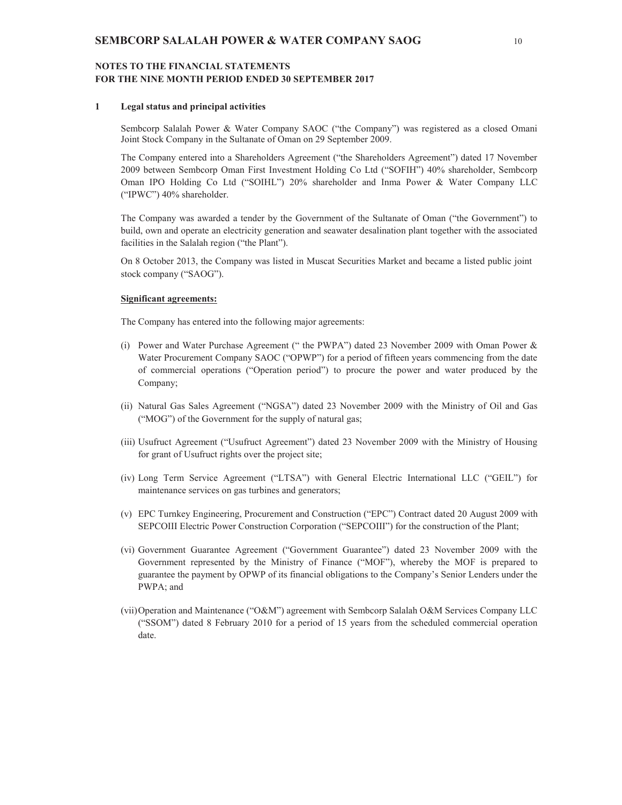### **1 Legal status and principal activities**

Sembcorp Salalah Power & Water Company SAOC ("the Company") was registered as a closed Omani Joint Stock Company in the Sultanate of Oman on 29 September 2009.

The Company entered into a Shareholders Agreement ("the Shareholders Agreement") dated 17 November 2009 between Sembcorp Oman First Investment Holding Co Ltd ("SOFIH") 40% shareholder, Sembcorp Oman IPO Holding Co Ltd ("SOIHL") 20% shareholder and Inma Power & Water Company LLC ("IPWC") 40% shareholder.

The Company was awarded a tender by the Government of the Sultanate of Oman ("the Government") to build, own and operate an electricity generation and seawater desalination plant together with the associated facilities in the Salalah region ("the Plant").

On 8 October 2013, the Company was listed in Muscat Securities Market and became a listed public joint stock company ("SAOG").

#### **Significant agreements:**

The Company has entered into the following major agreements:

- (i) Power and Water Purchase Agreement (" the PWPA") dated 23 November 2009 with Oman Power & Water Procurement Company SAOC ("OPWP") for a period of fifteen years commencing from the date of commercial operations ("Operation period") to procure the power and water produced by the Company;
- (ii) Natural Gas Sales Agreement ("NGSA") dated 23 November 2009 with the Ministry of Oil and Gas ("MOG") of the Government for the supply of natural gas;
- (iii) Usufruct Agreement ("Usufruct Agreement") dated 23 November 2009 with the Ministry of Housing for grant of Usufruct rights over the project site;
- (iv) Long Term Service Agreement ("LTSA") with General Electric International LLC ("GEIL") for maintenance services on gas turbines and generators;
- (v) EPC Turnkey Engineering, Procurement and Construction ("EPC") Contract dated 20 August 2009 with SEPCOIII Electric Power Construction Corporation ("SEPCOIII") for the construction of the Plant;
- (vi) Government Guarantee Agreement ("Government Guarantee") dated 23 November 2009 with the Government represented by the Ministry of Finance ("MOF"), whereby the MOF is prepared to guarantee the payment by OPWP of its financial obligations to the Company's Senior Lenders under the PWPA; and
- (vii)Operation and Maintenance ("O&M") agreement with Sembcorp Salalah O&M Services Company LLC ("SSOM") dated 8 February 2010 for a period of 15 years from the scheduled commercial operation date.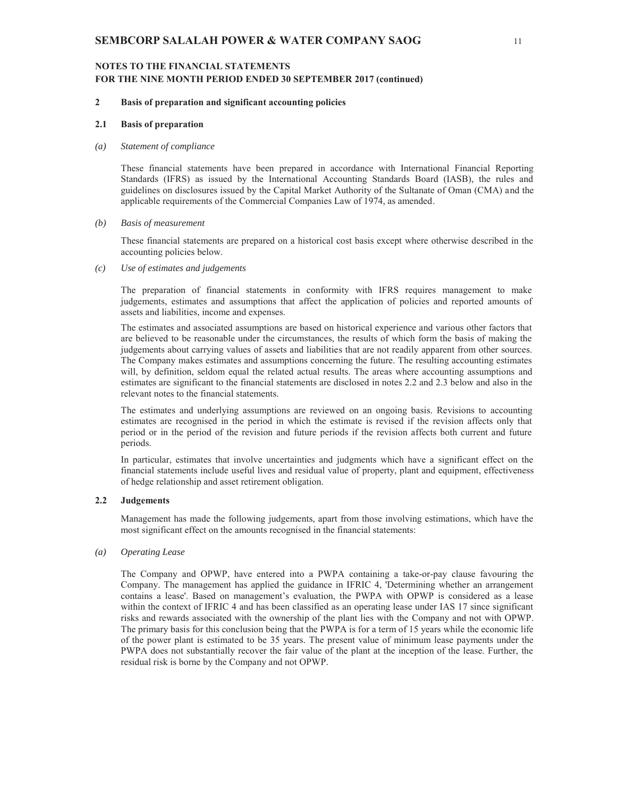### **2 Basis of preparation and significant accounting policies**

#### **2.1 Basis of preparation**

#### *(a) Statement of compliance*

These financial statements have been prepared in accordance with International Financial Reporting Standards (IFRS) as issued by the International Accounting Standards Board (IASB), the rules and guidelines on disclosures issued by the Capital Market Authority of the Sultanate of Oman (CMA) and the applicable requirements of the Commercial Companies Law of 1974, as amended.

#### *(b) Basis of measurement*

These financial statements are prepared on a historical cost basis except where otherwise described in the accounting policies below.

### *(c) Use of estimates and judgements*

The preparation of financial statements in conformity with IFRS requires management to make judgements, estimates and assumptions that affect the application of policies and reported amounts of assets and liabilities, income and expenses.

The estimates and associated assumptions are based on historical experience and various other factors that are believed to be reasonable under the circumstances, the results of which form the basis of making the judgements about carrying values of assets and liabilities that are not readily apparent from other sources. The Company makes estimates and assumptions concerning the future. The resulting accounting estimates will, by definition, seldom equal the related actual results. The areas where accounting assumptions and estimates are significant to the financial statements are disclosed in notes 2.2 and 2.3 below and also in the relevant notes to the financial statements.

The estimates and underlying assumptions are reviewed on an ongoing basis. Revisions to accounting estimates are recognised in the period in which the estimate is revised if the revision affects only that period or in the period of the revision and future periods if the revision affects both current and future periods.

In particular, estimates that involve uncertainties and judgments which have a significant effect on the financial statements include useful lives and residual value of property, plant and equipment, effectiveness of hedge relationship and asset retirement obligation.

#### **2.2 Judgements**

Management has made the following judgements, apart from those involving estimations, which have the most significant effect on the amounts recognised in the financial statements:

#### *(a) Operating Lease*

The Company and OPWP, have entered into a PWPA containing a take-or-pay clause favouring the Company. The management has applied the guidance in IFRIC 4, 'Determining whether an arrangement contains a lease'. Based on management's evaluation, the PWPA with OPWP is considered as a lease within the context of IFRIC 4 and has been classified as an operating lease under IAS 17 since significant risks and rewards associated with the ownership of the plant lies with the Company and not with OPWP. The primary basis for this conclusion being that the PWPA is for a term of 15 years while the economic life of the power plant is estimated to be 35 years. The present value of minimum lease payments under the PWPA does not substantially recover the fair value of the plant at the inception of the lease. Further, the residual risk is borne by the Company and not OPWP.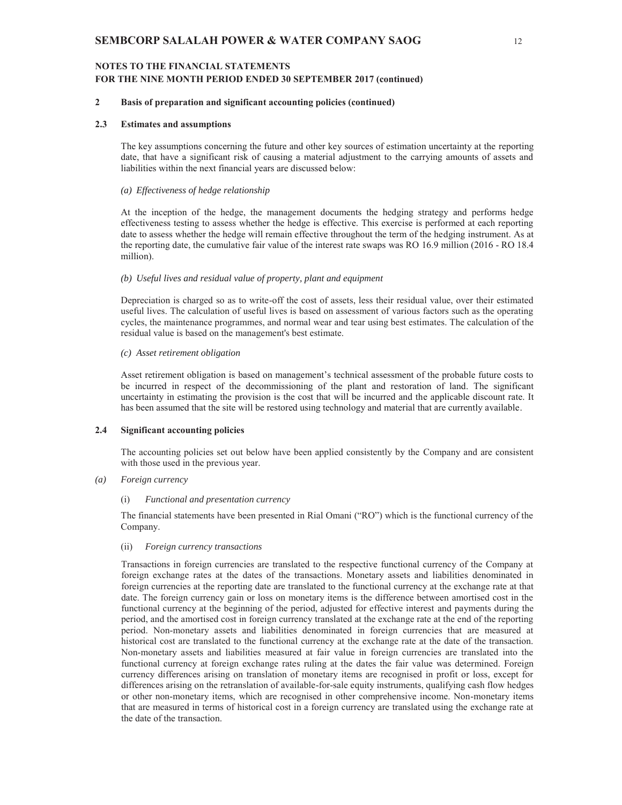#### **2 Basis of preparation and significant accounting policies (continued)**

#### **2.3 Estimates and assumptions**

The key assumptions concerning the future and other key sources of estimation uncertainty at the reporting date, that have a significant risk of causing a material adjustment to the carrying amounts of assets and liabilities within the next financial years are discussed below:

#### *(a) Effectiveness of hedge relationship*

At the inception of the hedge, the management documents the hedging strategy and performs hedge effectiveness testing to assess whether the hedge is effective. This exercise is performed at each reporting date to assess whether the hedge will remain effective throughout the term of the hedging instrument. As at the reporting date, the cumulative fair value of the interest rate swaps was RO 16.9 million (2016 - RO 18.4 million).

### *(b) Useful lives and residual value of property, plant and equipment*

Depreciation is charged so as to write-off the cost of assets, less their residual value, over their estimated useful lives. The calculation of useful lives is based on assessment of various factors such as the operating cycles, the maintenance programmes, and normal wear and tear using best estimates. The calculation of the residual value is based on the management's best estimate.

#### *(c) Asset retirement obligation*

Asset retirement obligation is based on management's technical assessment of the probable future costs to be incurred in respect of the decommissioning of the plant and restoration of land. The significant uncertainty in estimating the provision is the cost that will be incurred and the applicable discount rate. It has been assumed that the site will be restored using technology and material that are currently available.

### **2.4 Significant accounting policies**

The accounting policies set out below have been applied consistently by the Company and are consistent with those used in the previous year.

*(a) Foreign currency* 

#### (i) *Functional and presentation currency*

The financial statements have been presented in Rial Omani ("RO") which is the functional currency of the Company.

#### (ii) *Foreign currency transactions*

Transactions in foreign currencies are translated to the respective functional currency of the Company at foreign exchange rates at the dates of the transactions. Monetary assets and liabilities denominated in foreign currencies at the reporting date are translated to the functional currency at the exchange rate at that date. The foreign currency gain or loss on monetary items is the difference between amortised cost in the functional currency at the beginning of the period, adjusted for effective interest and payments during the period, and the amortised cost in foreign currency translated at the exchange rate at the end of the reporting period. Non-monetary assets and liabilities denominated in foreign currencies that are measured at historical cost are translated to the functional currency at the exchange rate at the date of the transaction. Non-monetary assets and liabilities measured at fair value in foreign currencies are translated into the functional currency at foreign exchange rates ruling at the dates the fair value was determined. Foreign currency differences arising on translation of monetary items are recognised in profit or loss, except for differences arising on the retranslation of available-for-sale equity instruments, qualifying cash flow hedges or other non-monetary items, which are recognised in other comprehensive income. Non-monetary items that are measured in terms of historical cost in a foreign currency are translated using the exchange rate at the date of the transaction.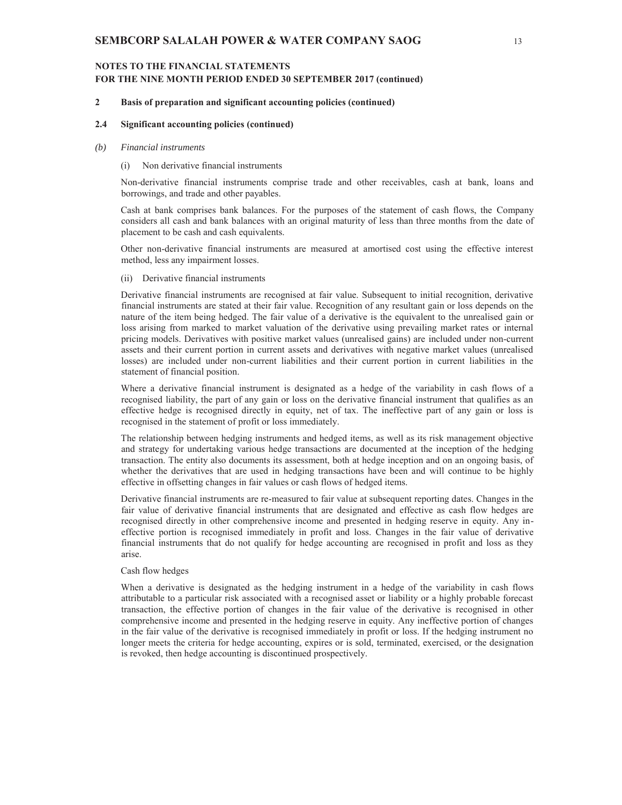#### **2 Basis of preparation and significant accounting policies (continued)**

#### **2.4 Significant accounting policies (continued)**

#### *(b) Financial instruments*

#### (i) Non derivative financial instruments

 Non-derivative financial instruments comprise trade and other receivables, cash at bank, loans and borrowings, and trade and other payables.

 Cash at bank comprises bank balances. For the purposes of the statement of cash flows, the Company considers all cash and bank balances with an original maturity of less than three months from the date of placement to be cash and cash equivalents.

 Other non-derivative financial instruments are measured at amortised cost using the effective interest method, less any impairment losses.

### (ii) Derivative financial instruments

 Derivative financial instruments are recognised at fair value. Subsequent to initial recognition, derivative financial instruments are stated at their fair value. Recognition of any resultant gain or loss depends on the nature of the item being hedged. The fair value of a derivative is the equivalent to the unrealised gain or loss arising from marked to market valuation of the derivative using prevailing market rates or internal pricing models. Derivatives with positive market values (unrealised gains) are included under non-current assets and their current portion in current assets and derivatives with negative market values (unrealised losses) are included under non-current liabilities and their current portion in current liabilities in the statement of financial position.

 Where a derivative financial instrument is designated as a hedge of the variability in cash flows of a recognised liability, the part of any gain or loss on the derivative financial instrument that qualifies as an effective hedge is recognised directly in equity, net of tax. The ineffective part of any gain or loss is recognised in the statement of profit or loss immediately.

 The relationship between hedging instruments and hedged items, as well as its risk management objective and strategy for undertaking various hedge transactions are documented at the inception of the hedging transaction. The entity also documents its assessment, both at hedge inception and on an ongoing basis, of whether the derivatives that are used in hedging transactions have been and will continue to be highly effective in offsetting changes in fair values or cash flows of hedged items.

 Derivative financial instruments are re-measured to fair value at subsequent reporting dates. Changes in the fair value of derivative financial instruments that are designated and effective as cash flow hedges are recognised directly in other comprehensive income and presented in hedging reserve in equity. Any ineffective portion is recognised immediately in profit and loss. Changes in the fair value of derivative financial instruments that do not qualify for hedge accounting are recognised in profit and loss as they arise.

#### Cash flow hedges

When a derivative is designated as the hedging instrument in a hedge of the variability in cash flows attributable to a particular risk associated with a recognised asset or liability or a highly probable forecast transaction, the effective portion of changes in the fair value of the derivative is recognised in other comprehensive income and presented in the hedging reserve in equity. Any ineffective portion of changes in the fair value of the derivative is recognised immediately in profit or loss. If the hedging instrument no longer meets the criteria for hedge accounting, expires or is sold, terminated, exercised, or the designation is revoked, then hedge accounting is discontinued prospectively.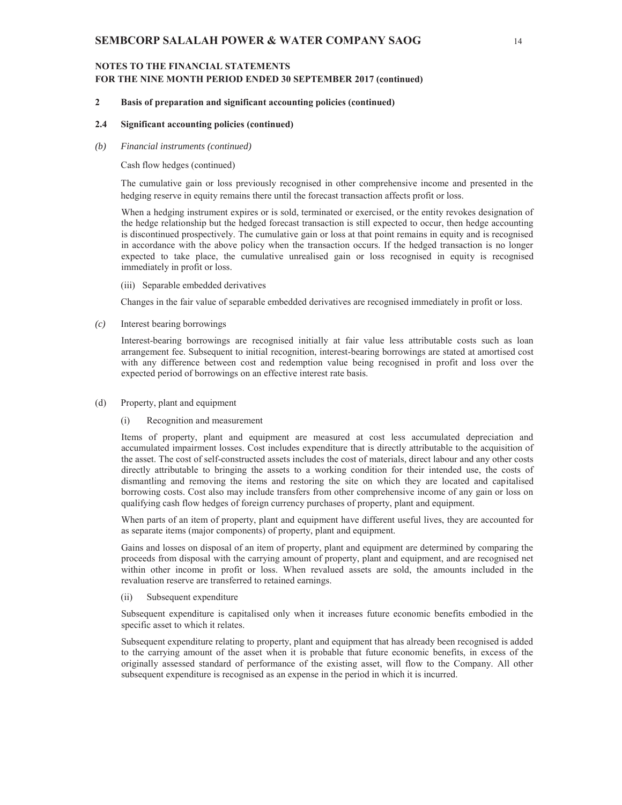#### **2 Basis of preparation and significant accounting policies (continued)**

#### **2.4 Significant accounting policies (continued)**

*(b) Financial instruments (continued)* 

Cash flow hedges (continued)

The cumulative gain or loss previously recognised in other comprehensive income and presented in the hedging reserve in equity remains there until the forecast transaction affects profit or loss.

When a hedging instrument expires or is sold, terminated or exercised, or the entity revokes designation of the hedge relationship but the hedged forecast transaction is still expected to occur, then hedge accounting is discontinued prospectively. The cumulative gain or loss at that point remains in equity and is recognised in accordance with the above policy when the transaction occurs. If the hedged transaction is no longer expected to take place, the cumulative unrealised gain or loss recognised in equity is recognised immediately in profit or loss.

### (iii) Separable embedded derivatives

Changes in the fair value of separable embedded derivatives are recognised immediately in profit or loss.

*(c)* Interest bearing borrowings

Interest-bearing borrowings are recognised initially at fair value less attributable costs such as loan arrangement fee. Subsequent to initial recognition, interest-bearing borrowings are stated at amortised cost with any difference between cost and redemption value being recognised in profit and loss over the expected period of borrowings on an effective interest rate basis.

#### (d) Property, plant and equipment

#### (i) Recognition and measurement

Items of property, plant and equipment are measured at cost less accumulated depreciation and accumulated impairment losses. Cost includes expenditure that is directly attributable to the acquisition of the asset. The cost of self-constructed assets includes the cost of materials, direct labour and any other costs directly attributable to bringing the assets to a working condition for their intended use, the costs of dismantling and removing the items and restoring the site on which they are located and capitalised borrowing costs. Cost also may include transfers from other comprehensive income of any gain or loss on qualifying cash flow hedges of foreign currency purchases of property, plant and equipment.

When parts of an item of property, plant and equipment have different useful lives, they are accounted for as separate items (major components) of property, plant and equipment.

Gains and losses on disposal of an item of property, plant and equipment are determined by comparing the proceeds from disposal with the carrying amount of property, plant and equipment, and are recognised net within other income in profit or loss. When revalued assets are sold, the amounts included in the revaluation reserve are transferred to retained earnings.

#### (ii) Subsequent expenditure

Subsequent expenditure is capitalised only when it increases future economic benefits embodied in the specific asset to which it relates.

Subsequent expenditure relating to property, plant and equipment that has already been recognised is added to the carrying amount of the asset when it is probable that future economic benefits, in excess of the originally assessed standard of performance of the existing asset, will flow to the Company. All other subsequent expenditure is recognised as an expense in the period in which it is incurred.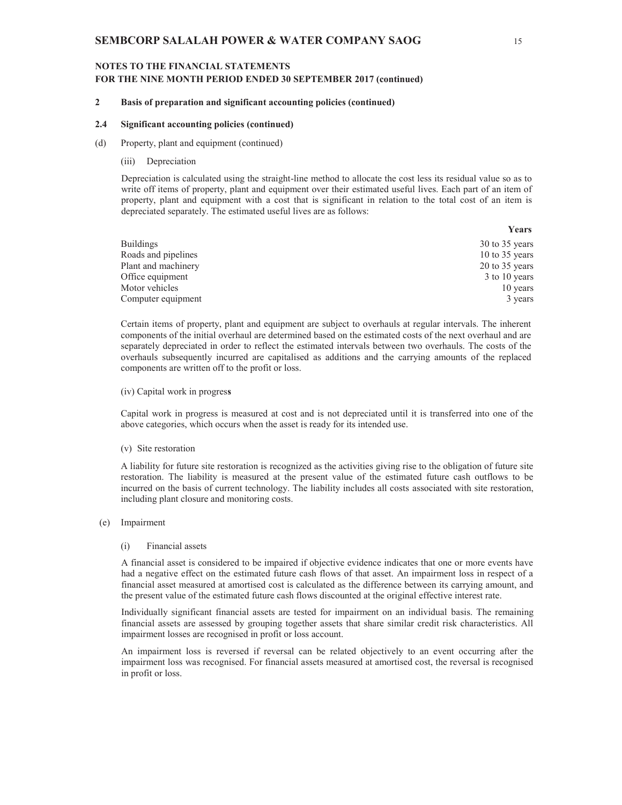#### **2 Basis of preparation and significant accounting policies (continued)**

#### **2.4 Significant accounting policies (continued)**

#### (d) Property, plant and equipment (continued)

#### (iii) Depreciation

Depreciation is calculated using the straight-line method to allocate the cost less its residual value so as to write off items of property, plant and equipment over their estimated useful lives. Each part of an item of property, plant and equipment with a cost that is significant in relation to the total cost of an item is depreciated separately. The estimated useful lives are as follows:

|                     | Years              |
|---------------------|--------------------|
| <b>Buildings</b>    | $30$ to $35$ years |
| Roads and pipelines | 10 to $35$ years   |
| Plant and machinery | $20$ to 35 years   |
| Office equipment    | 3 to 10 years      |
| Motor vehicles      | 10 years           |
| Computer equipment  | 3 years            |

Certain items of property, plant and equipment are subject to overhauls at regular intervals. The inherent components of the initial overhaul are determined based on the estimated costs of the next overhaul and are separately depreciated in order to reflect the estimated intervals between two overhauls. The costs of the overhauls subsequently incurred are capitalised as additions and the carrying amounts of the replaced components are written off to the profit or loss.

### (iv) Capital work in progres**s**

Capital work in progress is measured at cost and is not depreciated until it is transferred into one of the above categories, which occurs when the asset is ready for its intended use.

#### (v) Site restoration

A liability for future site restoration is recognized as the activities giving rise to the obligation of future site restoration. The liability is measured at the present value of the estimated future cash outflows to be incurred on the basis of current technology. The liability includes all costs associated with site restoration, including plant closure and monitoring costs.

#### (e) Impairment

### (i) Financial assets

A financial asset is considered to be impaired if objective evidence indicates that one or more events have had a negative effect on the estimated future cash flows of that asset. An impairment loss in respect of a financial asset measured at amortised cost is calculated as the difference between its carrying amount, and the present value of the estimated future cash flows discounted at the original effective interest rate.

Individually significant financial assets are tested for impairment on an individual basis. The remaining financial assets are assessed by grouping together assets that share similar credit risk characteristics. All impairment losses are recognised in profit or loss account.

An impairment loss is reversed if reversal can be related objectively to an event occurring after the impairment loss was recognised. For financial assets measured at amortised cost, the reversal is recognised in profit or loss.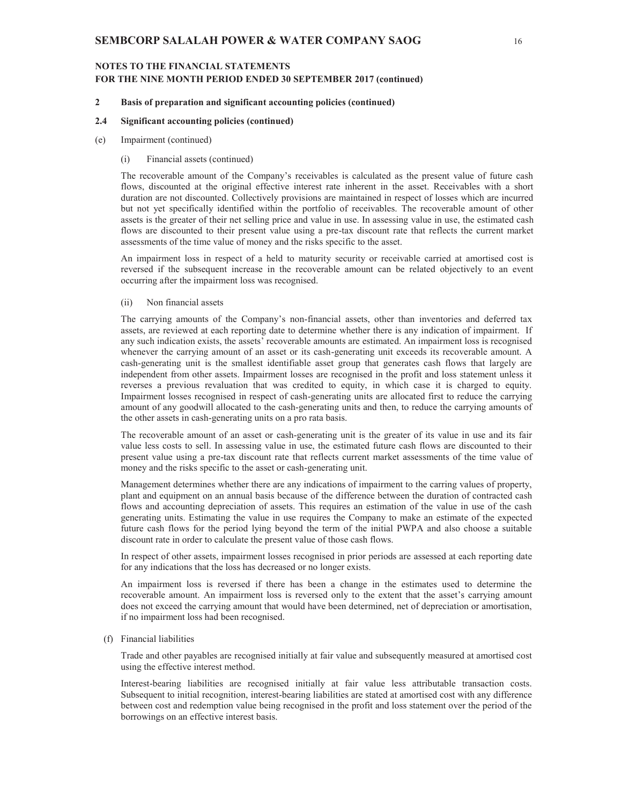#### **2 Basis of preparation and significant accounting policies (continued)**

#### **2.4 Significant accounting policies (continued)**

(e) Impairment (continued)

#### (i) Financial assets (continued)

The recoverable amount of the Company's receivables is calculated as the present value of future cash flows, discounted at the original effective interest rate inherent in the asset. Receivables with a short duration are not discounted. Collectively provisions are maintained in respect of losses which are incurred but not yet specifically identified within the portfolio of receivables. The recoverable amount of other assets is the greater of their net selling price and value in use. In assessing value in use, the estimated cash flows are discounted to their present value using a pre-tax discount rate that reflects the current market assessments of the time value of money and the risks specific to the asset.

An impairment loss in respect of a held to maturity security or receivable carried at amortised cost is reversed if the subsequent increase in the recoverable amount can be related objectively to an event occurring after the impairment loss was recognised.

#### (ii) Non financial assets

The carrying amounts of the Company's non-financial assets, other than inventories and deferred tax assets, are reviewed at each reporting date to determine whether there is any indication of impairment. If any such indication exists, the assets' recoverable amounts are estimated. An impairment loss is recognised whenever the carrying amount of an asset or its cash-generating unit exceeds its recoverable amount. A cash-generating unit is the smallest identifiable asset group that generates cash flows that largely are independent from other assets. Impairment losses are recognised in the profit and loss statement unless it reverses a previous revaluation that was credited to equity, in which case it is charged to equity. Impairment losses recognised in respect of cash-generating units are allocated first to reduce the carrying amount of any goodwill allocated to the cash-generating units and then, to reduce the carrying amounts of the other assets in cash-generating units on a pro rata basis.

The recoverable amount of an asset or cash-generating unit is the greater of its value in use and its fair value less costs to sell. In assessing value in use, the estimated future cash flows are discounted to their present value using a pre-tax discount rate that reflects current market assessments of the time value of money and the risks specific to the asset or cash-generating unit.

Management determines whether there are any indications of impairment to the carring values of property, plant and equipment on an annual basis because of the difference between the duration of contracted cash flows and accounting depreciation of assets. This requires an estimation of the value in use of the cash generating units. Estimating the value in use requires the Company to make an estimate of the expected future cash flows for the period lying beyond the term of the initial PWPA and also choose a suitable discount rate in order to calculate the present value of those cash flows.

In respect of other assets, impairment losses recognised in prior periods are assessed at each reporting date for any indications that the loss has decreased or no longer exists.

An impairment loss is reversed if there has been a change in the estimates used to determine the recoverable amount. An impairment loss is reversed only to the extent that the asset's carrying amount does not exceed the carrying amount that would have been determined, net of depreciation or amortisation, if no impairment loss had been recognised.

#### (f) Financial liabilities

Trade and other payables are recognised initially at fair value and subsequently measured at amortised cost using the effective interest method.

Interest-bearing liabilities are recognised initially at fair value less attributable transaction costs. Subsequent to initial recognition, interest-bearing liabilities are stated at amortised cost with any difference between cost and redemption value being recognised in the profit and loss statement over the period of the borrowings on an effective interest basis.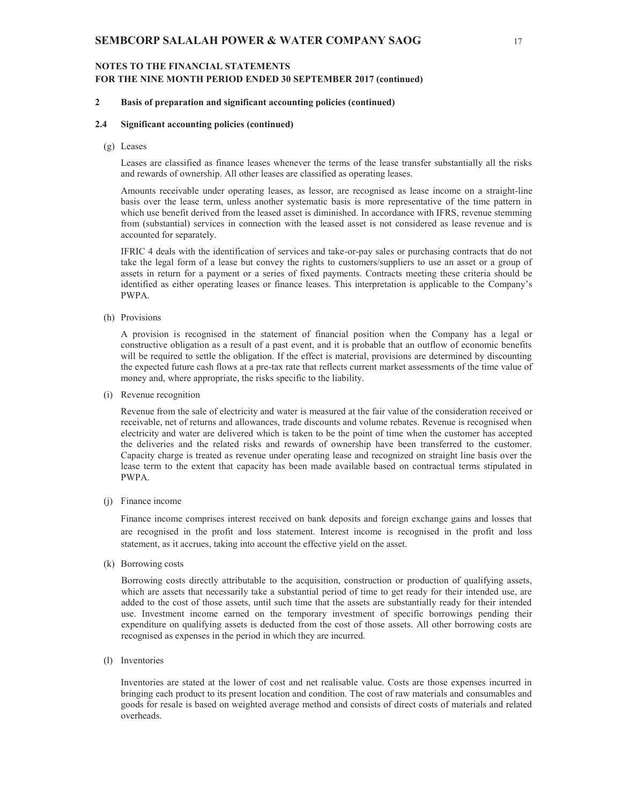#### **2 Basis of preparation and significant accounting policies (continued)**

#### **2.4 Significant accounting policies (continued)**

(g) Leases

Leases are classified as finance leases whenever the terms of the lease transfer substantially all the risks and rewards of ownership. All other leases are classified as operating leases.

Amounts receivable under operating leases, as lessor, are recognised as lease income on a straight-line basis over the lease term, unless another systematic basis is more representative of the time pattern in which use benefit derived from the leased asset is diminished. In accordance with IFRS, revenue stemming from (substantial) services in connection with the leased asset is not considered as lease revenue and is accounted for separately.

IFRIC 4 deals with the identification of services and take-or-pay sales or purchasing contracts that do not take the legal form of a lease but convey the rights to customers/suppliers to use an asset or a group of assets in return for a payment or a series of fixed payments. Contracts meeting these criteria should be identified as either operating leases or finance leases. This interpretation is applicable to the Company's PWPA.

(h) Provisions

A provision is recognised in the statement of financial position when the Company has a legal or constructive obligation as a result of a past event, and it is probable that an outflow of economic benefits will be required to settle the obligation. If the effect is material, provisions are determined by discounting the expected future cash flows at a pre-tax rate that reflects current market assessments of the time value of money and, where appropriate, the risks specific to the liability.

(i) Revenue recognition

Revenue from the sale of electricity and water is measured at the fair value of the consideration received or receivable, net of returns and allowances, trade discounts and volume rebates. Revenue is recognised when electricity and water are delivered which is taken to be the point of time when the customer has accepted the deliveries and the related risks and rewards of ownership have been transferred to the customer. Capacity charge is treated as revenue under operating lease and recognized on straight line basis over the lease term to the extent that capacity has been made available based on contractual terms stipulated in PWPA.

(j) Finance income

Finance income comprises interest received on bank deposits and foreign exchange gains and losses that are recognised in the profit and loss statement. Interest income is recognised in the profit and loss statement, as it accrues, taking into account the effective yield on the asset.

(k) Borrowing costs

Borrowing costs directly attributable to the acquisition, construction or production of qualifying assets, which are assets that necessarily take a substantial period of time to get ready for their intended use, are added to the cost of those assets, until such time that the assets are substantially ready for their intended use. Investment income earned on the temporary investment of specific borrowings pending their expenditure on qualifying assets is deducted from the cost of those assets. All other borrowing costs are recognised as expenses in the period in which they are incurred.

(l) Inventories

Inventories are stated at the lower of cost and net realisable value. Costs are those expenses incurred in bringing each product to its present location and condition. The cost of raw materials and consumables and goods for resale is based on weighted average method and consists of direct costs of materials and related overheads.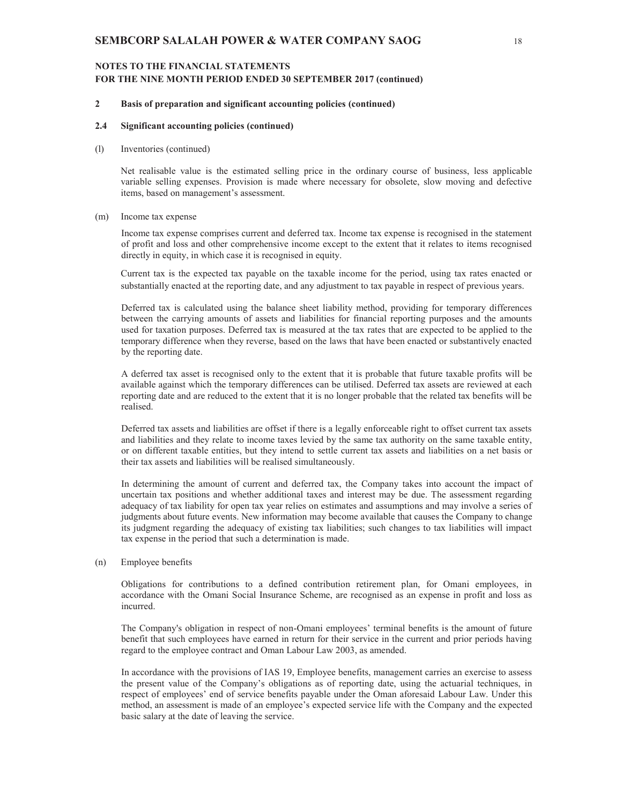#### **2 Basis of preparation and significant accounting policies (continued)**

### **2.4 Significant accounting policies (continued)**

#### (l) Inventories (continued)

Net realisable value is the estimated selling price in the ordinary course of business, less applicable variable selling expenses. Provision is made where necessary for obsolete, slow moving and defective items, based on management's assessment.

#### (m) Income tax expense

Income tax expense comprises current and deferred tax. Income tax expense is recognised in the statement of profit and loss and other comprehensive income except to the extent that it relates to items recognised directly in equity, in which case it is recognised in equity.

Current tax is the expected tax payable on the taxable income for the period, using tax rates enacted or substantially enacted at the reporting date, and any adjustment to tax payable in respect of previous years.

Deferred tax is calculated using the balance sheet liability method, providing for temporary differences between the carrying amounts of assets and liabilities for financial reporting purposes and the amounts used for taxation purposes. Deferred tax is measured at the tax rates that are expected to be applied to the temporary difference when they reverse, based on the laws that have been enacted or substantively enacted by the reporting date.

A deferred tax asset is recognised only to the extent that it is probable that future taxable profits will be available against which the temporary differences can be utilised. Deferred tax assets are reviewed at each reporting date and are reduced to the extent that it is no longer probable that the related tax benefits will be realised.

Deferred tax assets and liabilities are offset if there is a legally enforceable right to offset current tax assets and liabilities and they relate to income taxes levied by the same tax authority on the same taxable entity, or on different taxable entities, but they intend to settle current tax assets and liabilities on a net basis or their tax assets and liabilities will be realised simultaneously.

In determining the amount of current and deferred tax, the Company takes into account the impact of uncertain tax positions and whether additional taxes and interest may be due. The assessment regarding adequacy of tax liability for open tax year relies on estimates and assumptions and may involve a series of judgments about future events. New information may become available that causes the Company to change its judgment regarding the adequacy of existing tax liabilities; such changes to tax liabilities will impact tax expense in the period that such a determination is made.

#### (n) Employee benefits

Obligations for contributions to a defined contribution retirement plan, for Omani employees, in accordance with the Omani Social Insurance Scheme, are recognised as an expense in profit and loss as incurred.

The Company's obligation in respect of non-Omani employees' terminal benefits is the amount of future benefit that such employees have earned in return for their service in the current and prior periods having regard to the employee contract and Oman Labour Law 2003, as amended.

In accordance with the provisions of IAS 19, Employee benefits, management carries an exercise to assess the present value of the Company's obligations as of reporting date, using the actuarial techniques, in respect of employees' end of service benefits payable under the Oman aforesaid Labour Law. Under this method, an assessment is made of an employee's expected service life with the Company and the expected basic salary at the date of leaving the service.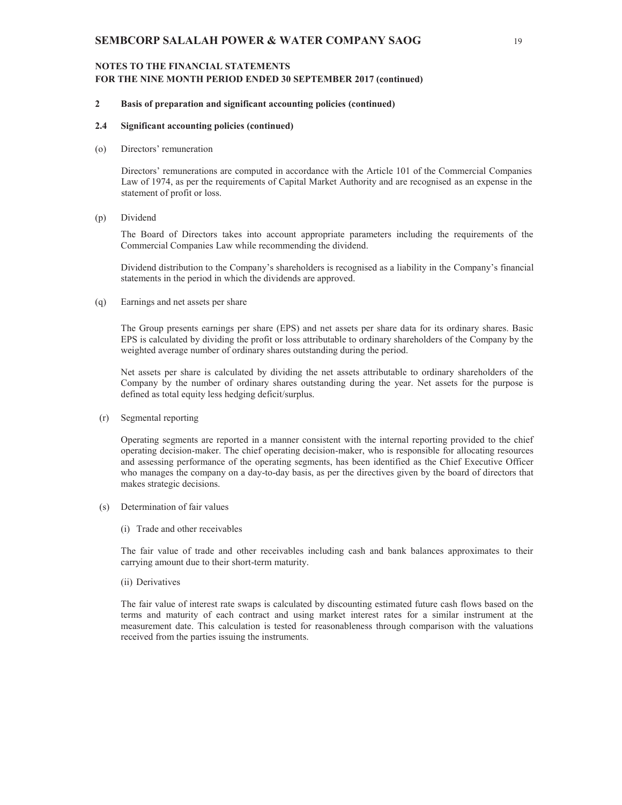#### **2 Basis of preparation and significant accounting policies (continued)**

#### **2.4 Significant accounting policies (continued)**

(o) Directors' remuneration

Directors' remunerations are computed in accordance with the Article 101 of the Commercial Companies Law of 1974, as per the requirements of Capital Market Authority and are recognised as an expense in the statement of profit or loss.

(p) Dividend

The Board of Directors takes into account appropriate parameters including the requirements of the Commercial Companies Law while recommending the dividend.

Dividend distribution to the Company's shareholders is recognised as a liability in the Company's financial statements in the period in which the dividends are approved.

(q) Earnings and net assets per share

The Group presents earnings per share (EPS) and net assets per share data for its ordinary shares. Basic EPS is calculated by dividing the profit or loss attributable to ordinary shareholders of the Company by the weighted average number of ordinary shares outstanding during the period.

Net assets per share is calculated by dividing the net assets attributable to ordinary shareholders of the Company by the number of ordinary shares outstanding during the year. Net assets for the purpose is defined as total equity less hedging deficit/surplus.

(r) Segmental reporting

Operating segments are reported in a manner consistent with the internal reporting provided to the chief operating decision-maker. The chief operating decision-maker, who is responsible for allocating resources and assessing performance of the operating segments, has been identified as the Chief Executive Officer who manages the company on a day-to-day basis, as per the directives given by the board of directors that makes strategic decisions.

- (s) Determination of fair values
	- (i) Trade and other receivables

The fair value of trade and other receivables including cash and bank balances approximates to their carrying amount due to their short-term maturity.

(ii) Derivatives

The fair value of interest rate swaps is calculated by discounting estimated future cash flows based on the terms and maturity of each contract and using market interest rates for a similar instrument at the measurement date. This calculation is tested for reasonableness through comparison with the valuations received from the parties issuing the instruments.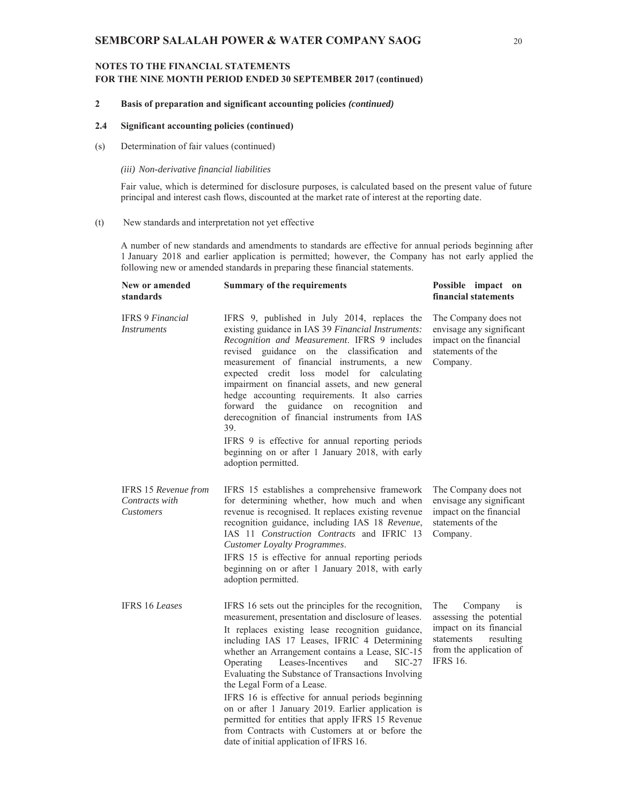### **2 Basis of preparation and significant accounting policies** *(continued)*

### **2.4 Significant accounting policies (continued)**

(s) Determination of fair values (continued)

### *(iii) Non-derivative financial liabilities*

Fair value, which is determined for disclosure purposes, is calculated based on the present value of future principal and interest cash flows, discounted at the market rate of interest at the reporting date.

### (t) New standards and interpretation not yet effective

A number of new standards and amendments to standards are effective for annual periods beginning after 1 January 2018 and earlier application is permitted; however, the Company has not early applied the following new or amended standards in preparing these financial statements.

| New or amended<br>standards                                | Summary of the requirements                                                                                                                                                                                                                                                                                                                                                                                                                                                                                                                                                                                                                                              | Possible impact on<br>financial statements                                                                                                          |
|------------------------------------------------------------|--------------------------------------------------------------------------------------------------------------------------------------------------------------------------------------------------------------------------------------------------------------------------------------------------------------------------------------------------------------------------------------------------------------------------------------------------------------------------------------------------------------------------------------------------------------------------------------------------------------------------------------------------------------------------|-----------------------------------------------------------------------------------------------------------------------------------------------------|
| <b>IFRS 9 Financial</b><br><i>Instruments</i>              | IFRS 9, published in July 2014, replaces the<br>existing guidance in IAS 39 Financial Instruments:<br>Recognition and Measurement. IFRS 9 includes<br>revised guidance on the classification<br>and<br>measurement of financial instruments, a new<br>expected credit loss model for calculating<br>impairment on financial assets, and new general<br>hedge accounting requirements. It also carries<br>guidance on recognition<br>forward the<br>and<br>derecognition of financial instruments from IAS<br>39.<br>IFRS 9 is effective for annual reporting periods<br>beginning on or after 1 January 2018, with early<br>adoption permitted.                          | The Company does not<br>envisage any significant<br>impact on the financial<br>statements of the<br>Company.                                        |
| IFRS 15 Revenue from<br>Contracts with<br><b>Customers</b> | IFRS 15 establishes a comprehensive framework<br>for determining whether, how much and when<br>revenue is recognised. It replaces existing revenue<br>recognition guidance, including IAS 18 Revenue,<br>IAS 11 Construction Contracts and IFRIC 13<br>Customer Loyalty Programmes.<br>IFRS 15 is effective for annual reporting periods<br>beginning on or after 1 January 2018, with early<br>adoption permitted.                                                                                                                                                                                                                                                      | The Company does not<br>envisage any significant<br>impact on the financial<br>statements of the<br>Company.                                        |
| <b>IFRS 16 Leases</b>                                      | IFRS 16 sets out the principles for the recognition,<br>measurement, presentation and disclosure of leases.<br>It replaces existing lease recognition guidance,<br>including IAS 17 Leases, IFRIC 4 Determining<br>whether an Arrangement contains a Lease, SIC-15<br>Leases-Incentives<br>and<br>$SIC-27$<br>Operating<br>Evaluating the Substance of Transactions Involving<br>the Legal Form of a Lease.<br>IFRS 16 is effective for annual periods beginning<br>on or after 1 January 2019. Earlier application is<br>permitted for entities that apply IFRS 15 Revenue<br>from Contracts with Customers at or before the<br>date of initial application of IFRS 16. | The<br>Company<br>is<br>assessing the potential<br>impact on its financial<br>statements<br>resulting<br>from the application of<br><b>IFRS 16.</b> |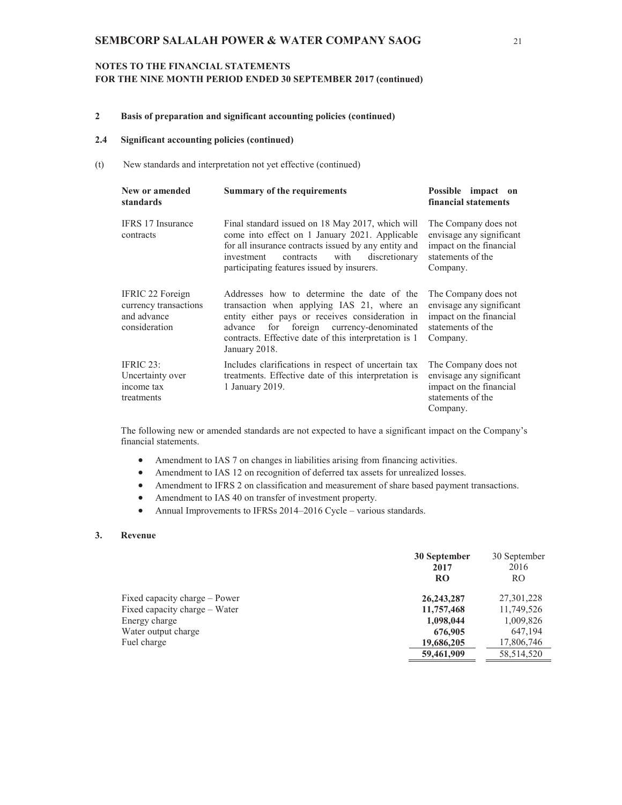### **2 Basis of preparation and significant accounting policies (continued)**

### **2.4 Significant accounting policies (continued)**

(t) New standards and interpretation not yet effective (continued)

| New or amended<br>standards                                               | Summary of the requirements                                                                                                                                                                                                                                          | Possible impact on<br>financial statements                                                                   |
|---------------------------------------------------------------------------|----------------------------------------------------------------------------------------------------------------------------------------------------------------------------------------------------------------------------------------------------------------------|--------------------------------------------------------------------------------------------------------------|
| <b>IFRS</b> 17 Insurance<br>contracts                                     | Final standard issued on 18 May 2017, which will<br>come into effect on 1 January 2021. Applicable<br>for all insurance contracts issued by any entity and<br>with discretionary<br>investment<br>contracts<br>participating features issued by insurers.            | The Company does not<br>envisage any significant<br>impact on the financial<br>statements of the<br>Company. |
| IFRIC 22 Foreign<br>currency transactions<br>and advance<br>consideration | Addresses how to determine the date of the<br>transaction when applying IAS 21, where an<br>entity either pays or receives consideration in<br>for foreign currency-denominated<br>advance<br>contracts. Effective date of this interpretation is 1<br>January 2018. | The Company does not<br>envisage any significant<br>impact on the financial<br>statements of the<br>Company. |
| IFRIC $23$ :<br>Uncertainty over<br>income tax<br>treatments              | Includes clarifications in respect of uncertain tax<br>treatments. Effective date of this interpretation is<br>1 January 2019.                                                                                                                                       | The Company does not<br>envisage any significant<br>impact on the financial<br>statements of the<br>Company. |

The following new or amended standards are not expected to have a significant impact on the Company's financial statements.

- Amendment to IAS 7 on changes in liabilities arising from financing activities.
- Amendment to IAS 12 on recognition of deferred tax assets for unrealized losses.
- Amendment to IFRS 2 on classification and measurement of share based payment transactions.
- Amendment to IAS 40 on transfer of investment property.
- Annual Improvements to IFRSs  $2014-2016$  Cycle various standards.

### **3. Revenue**

|                               | 30 September<br>2017<br><b>RO</b> | 30 September<br>2016<br>RO. |
|-------------------------------|-----------------------------------|-----------------------------|
| Fixed capacity charge – Power | 26, 243, 287                      | 27,301,228                  |
| Fixed capacity charge – Water | 11,757,468                        | 11,749,526                  |
| Energy charge                 | 1,098,044                         | 1,009,826                   |
| Water output charge           | 676,905                           | 647,194                     |
| Fuel charge                   | 19,686,205                        | 17,806,746                  |
|                               | 59,461,909                        | 58, 514, 520                |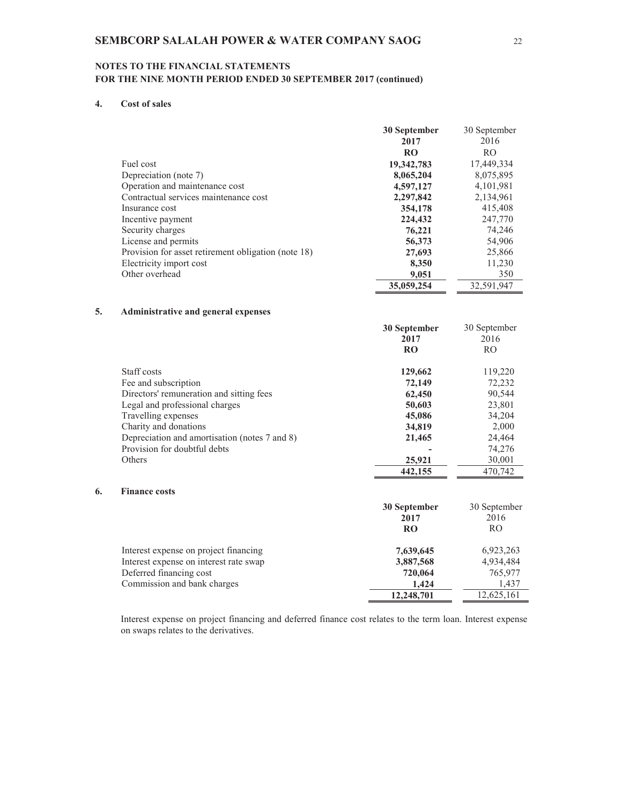### **4. Cost of sales**

|                                                     | 30 September | 30 September   |
|-----------------------------------------------------|--------------|----------------|
|                                                     | 2017         | 2016           |
|                                                     | RO           | R <sub>O</sub> |
| Fuel cost                                           | 19,342,783   | 17,449,334     |
| Depreciation (note 7)                               | 8,065,204    | 8,075,895      |
| Operation and maintenance cost                      | 4,597,127    | 4,101,981      |
| Contractual services maintenance cost               | 2,297,842    | 2,134,961      |
| Insurance cost                                      | 354,178      | 415,408        |
| Incentive payment                                   | 224,432      | 247,770        |
| Security charges                                    | 76,221       | 74,246         |
| License and permits                                 | 56,373       | 54,906         |
| Provision for asset retirement obligation (note 18) | 27,693       | 25,866         |
| Electricity import cost                             | 8,350        | 11,230         |
| Other overhead                                      | 9,051        | 350            |
|                                                     | 35,059,254   | 32,591,947     |

### **5. Administrative and general expenses**

|                                               | 30 September | 30 September |
|-----------------------------------------------|--------------|--------------|
|                                               | 2017         | 2016         |
|                                               | <b>RO</b>    | RO.          |
| Staff costs                                   | 129,662      | 119,220      |
| Fee and subscription                          | 72,149       | 72,232       |
| Directors' remuneration and sitting fees      | 62,450       | 90,544       |
| Legal and professional charges                | 50,603       | 23,801       |
| Travelling expenses                           | 45,086       | 34,204       |
| Charity and donations                         | 34,819       | 2,000        |
| Depreciation and amortisation (notes 7 and 8) | 21,465       | 24,464       |
| Provision for doubtful debts                  |              | 74,276       |
| Others                                        | 25,921       | 30,001       |
|                                               | 442,155      | 470,742      |

#### **6. Finance costs**

|                                        | 30 September | 30 September |
|----------------------------------------|--------------|--------------|
|                                        | 2017         | 2016         |
|                                        | <b>RO</b>    | RO.          |
| Interest expense on project financing  | 7,639,645    | 6,923,263    |
| Interest expense on interest rate swap | 3,887,568    | 4,934,484    |
| Deferred financing cost                | 720,064      | 765,977      |
| Commission and bank charges            | 1.424        | 1,437        |
|                                        | 12,248,701   | 12,625,161   |

Interest expense on project financing and deferred finance cost relates to the term loan. Interest expense on swaps relates to the derivatives.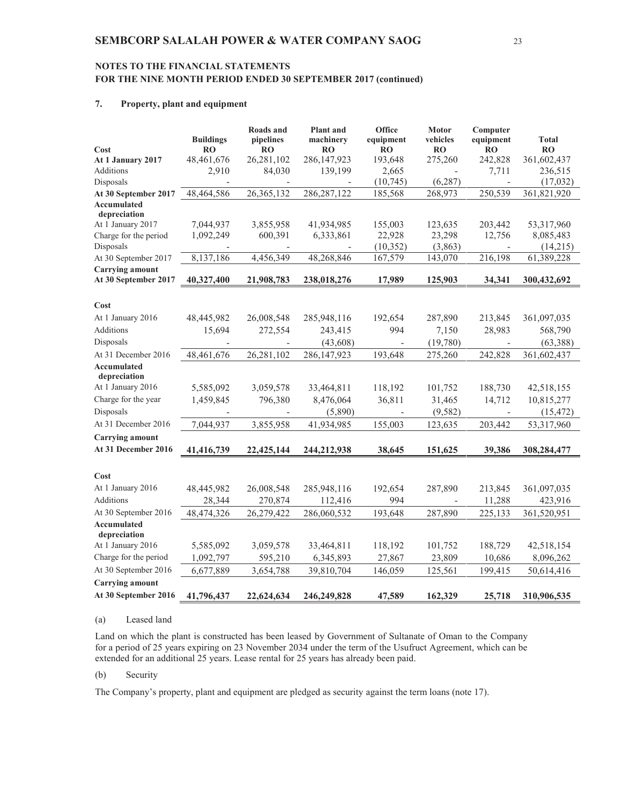### **7. Property, plant and equipment**

|                                                | <b>Buildings</b> | Roads and<br>pipelines | <b>Plant</b> and<br>machinery | Office<br>equipment      | <b>Motor</b><br>vehicles | Computer<br>equipment   | <b>Total</b>        |
|------------------------------------------------|------------------|------------------------|-------------------------------|--------------------------|--------------------------|-------------------------|---------------------|
| Cost                                           | R <sub>O</sub>   | RO                     | <b>RO</b>                     | <b>RO</b>                | <b>RO</b>                | <b>RO</b>               | R <sub>O</sub>      |
| At 1 January 2017<br>Additions                 | 48, 461, 676     | 26,281,102             | 286, 147, 923                 | 193,648                  | 275,260                  | 242,828                 | 361,602,437         |
| Disposals                                      | 2,910            | 84,030                 | 139,199<br>$\blacksquare$     | 2,665<br>(10,745)        | (6, 287)                 | 7,711<br>$\blacksquare$ | 236,515<br>(17,032) |
| At 30 September 2017                           | 48,464,586       | 26, 365, 132           | 286, 287, 122                 | 185,568                  | 268,973                  | 250,539                 | 361,821,920         |
| <b>Accumulated</b><br>depreciation             |                  |                        |                               |                          |                          |                         |                     |
| At 1 January 2017                              | 7,044,937        | 3,855,958              | 41,934,985                    | 155,003                  | 123,635                  | 203,442                 | 53, 317, 960        |
| Charge for the period                          | 1,092,249        | 600,391                | 6,333,861                     | 22,928                   | 23,298                   | 12,756                  | 8,085,483           |
| Disposals                                      |                  |                        |                               | (10, 352)                | (3,863)                  |                         | (14,215)            |
| At 30 September 2017                           | 8,137,186        | 4,456,349              | 48,268,846                    | 167,579                  | 143,070                  | 216,198                 | 61,389,228          |
| <b>Carrying amount</b><br>At 30 September 2017 | 40,327,400       | 21,908,783             | 238,018,276                   | 17,989                   | 125,903                  | 34,341                  | 300,432,692         |
|                                                |                  |                        |                               |                          |                          |                         |                     |
| Cost                                           |                  |                        |                               |                          |                          |                         |                     |
| At 1 January 2016                              | 48,445,982       | 26,008,548             | 285,948,116                   | 192,654                  | 287,890                  | 213,845                 | 361,097,035         |
| Additions                                      | 15,694           | 272,554                | 243,415                       | 994                      | 7,150                    | 28,983                  | 568,790             |
| Disposals                                      |                  |                        | (43,608)                      | $\overline{\phantom{a}}$ | (19,780)                 |                         | (63,388)            |
| At 31 December 2016                            | 48,461,676       | 26,281,102             | 286, 147, 923                 | 193,648                  | 275,260                  | 242,828                 | 361,602,437         |
| <b>Accumulated</b><br>depreciation             |                  |                        |                               |                          |                          |                         |                     |
| At 1 January 2016                              | 5,585,092        | 3,059,578              | 33,464,811                    | 118,192                  | 101,752                  | 188,730                 | 42,518,155          |
| Charge for the year                            | 1,459,845        | 796,380                | 8,476,064                     | 36,811                   | 31,465                   | 14,712                  | 10,815,277          |
| Disposals                                      |                  |                        | (5,890)                       | $\overline{\phantom{a}}$ | (9, 582)                 |                         | (15, 472)           |
| At 31 December 2016                            | 7,044,937        | 3,855,958              | 41,934,985                    | 155,003                  | 123,635                  | 203,442                 | 53,317,960          |
| <b>Carrying amount</b>                         |                  |                        |                               |                          |                          |                         |                     |
| At 31 December 2016                            | 41,416,739       | 22,425,144             | 244,212,938                   | 38,645                   | 151,625                  | 39,386                  | 308,284,477         |
|                                                |                  |                        |                               |                          |                          |                         |                     |
| Cost                                           |                  |                        |                               |                          |                          |                         |                     |
| At 1 January 2016                              | 48,445,982       | 26,008,548             | 285,948,116                   | 192,654                  | 287,890                  | 213,845                 | 361,097,035         |
| Additions                                      | 28,344           | 270,874                | 112,416                       | 994                      | $\Box$                   | 11,288                  | 423,916             |
| At 30 September 2016                           | 48, 474, 326     | 26,279,422             | 286,060,532                   | 193,648                  | 287,890                  | 225,133                 | 361,520,951         |
| <b>Accumulated</b><br>depreciation             |                  |                        |                               |                          |                          |                         |                     |
| At 1 January 2016                              | 5,585,092        | 3,059,578              | 33,464,811                    | 118,192                  | 101,752                  | 188,729                 | 42,518,154          |
| Charge for the period                          | 1,092,797        | 595,210                | 6,345,893                     | 27,867                   | 23,809                   | 10,686                  | 8,096,262           |
| At 30 September 2016                           | 6,677,889        | 3,654,788              | 39,810,704                    | 146,059                  | 125,561                  | 199,415                 | 50,614,416          |
| <b>Carrying amount</b>                         |                  |                        |                               |                          |                          |                         |                     |
| At 30 September 2016                           | 41,796,437       | 22,624,634             | 246,249,828                   | 47,589                   | 162,329                  | 25,718                  | 310,906,535         |

### (a) Leased land

Land on which the plant is constructed has been leased by Government of Sultanate of Oman to the Company for a period of 25 years expiring on 23 November 2034 under the term of the Usufruct Agreement, which can be extended for an additional 25 years. Lease rental for 25 years has already been paid.

### (b) Security

The Company's property, plant and equipment are pledged as security against the term loans (note 17).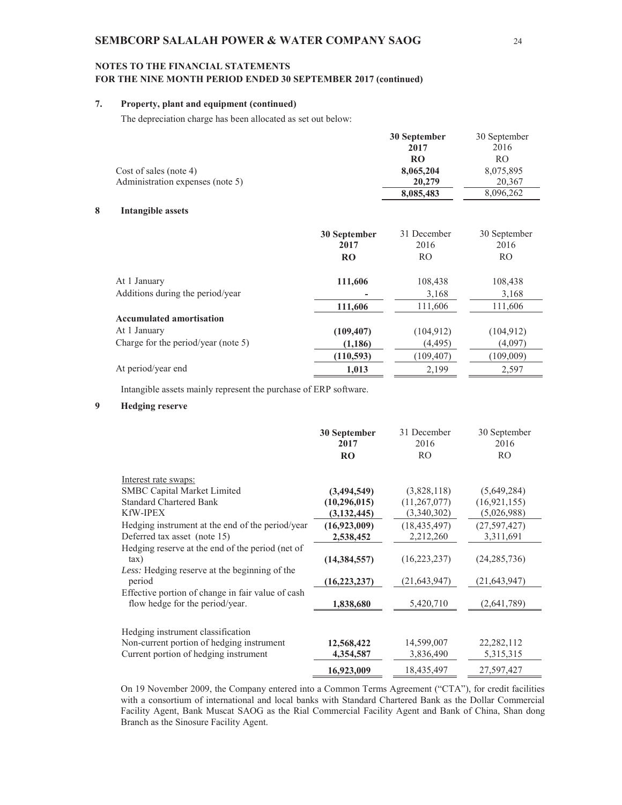### **7. Property, plant and equipment (continued)**

The depreciation charge has been allocated as set out below:

|                        |                                     |              | 30 September | 30 September   |
|------------------------|-------------------------------------|--------------|--------------|----------------|
|                        |                                     |              | 2017         | 2016           |
|                        |                                     |              | <b>RO</b>    | R <sub>O</sub> |
| Cost of sales (note 4) |                                     |              | 8,065,204    | 8,075,895      |
|                        | Administration expenses (note 5)    |              | 20,279       | 20,367         |
|                        |                                     |              | 8,085,483    | 8,096,262      |
| 8<br>Intangible assets |                                     |              |              |                |
|                        |                                     | 30 September | 31 December  | 30 September   |
|                        |                                     | 2017         | 2016         | 2016           |
|                        |                                     | <b>RO</b>    | RO.          | RO.            |
| At 1 January           |                                     | 111,606      | 108,438      | 108,438        |
|                        | Additions during the period/year    |              | 3,168        | 3,168          |
|                        |                                     | 111,606      | 111,606      | 111,606        |
|                        | <b>Accumulated amortisation</b>     |              |              |                |
| At 1 January           |                                     | (109, 407)   | (104, 912)   | (104, 912)     |
|                        | Charge for the period/year (note 5) | (1,186)      | (4, 495)     | (4,097)        |
|                        |                                     | (110, 593)   | (109, 407)   | (109,009)      |
| At period/year end     |                                     | 1,013        | 2,199        | 2,597          |

Intangible assets mainly represent the purchase of ERP software.

# **9 Hedging reserve**

|                                                                                      | 30 September<br>2017<br><b>RO</b> | 31 December<br>2016<br>R <sub>O</sub> | 30 September<br>2016<br>R <sub>O</sub> |
|--------------------------------------------------------------------------------------|-----------------------------------|---------------------------------------|----------------------------------------|
| Interest rate swaps:                                                                 |                                   |                                       |                                        |
| <b>SMBC Capital Market Limited</b>                                                   | (3,494,549)                       | (3,828,118)                           | (5,649,284)                            |
| <b>Standard Chartered Bank</b>                                                       | (10, 296, 015)                    | (11,267,077)                          | (16, 921, 155)                         |
| <b>KfW-IPEX</b>                                                                      | (3, 132, 445)                     | (3,340,302)                           | (5,026,988)                            |
| Hedging instrument at the end of the period/year                                     | (16, 923, 009)                    | (18, 435, 497)                        | (27, 597, 427)                         |
| Deferred tax asset (note 15)                                                         | 2,538,452                         | 2,212,260                             | 3,311,691                              |
| Hedging reserve at the end of the period (net of<br>$\tan$ )                         | (14, 384, 557)                    | (16, 223, 237)                        | (24, 285, 736)                         |
| Less: Hedging reserve at the beginning of the<br>period                              | (16, 223, 237)                    | (21, 643, 947)                        | (21, 643, 947)                         |
| Effective portion of change in fair value of cash<br>flow hedge for the period/year. | 1,838,680                         | 5,420,710                             | (2,641,789)                            |
| Hedging instrument classification                                                    |                                   |                                       |                                        |
| Non-current portion of hedging instrument                                            | 12,568,422                        | 14,599,007                            | 22, 282, 112                           |
| Current portion of hedging instrument                                                | 4,354,587                         | 3,836,490                             | 5,315,315                              |
|                                                                                      | 16,923,009                        | 18,435,497                            | 27,597,427                             |

On 19 November 2009, the Company entered into a Common Terms Agreement ("CTA"), for credit facilities with a consortium of international and local banks with Standard Chartered Bank as the Dollar Commercial Facility Agent, Bank Muscat SAOG as the Rial Commercial Facility Agent and Bank of China, Shan dong Branch as the Sinosure Facility Agent.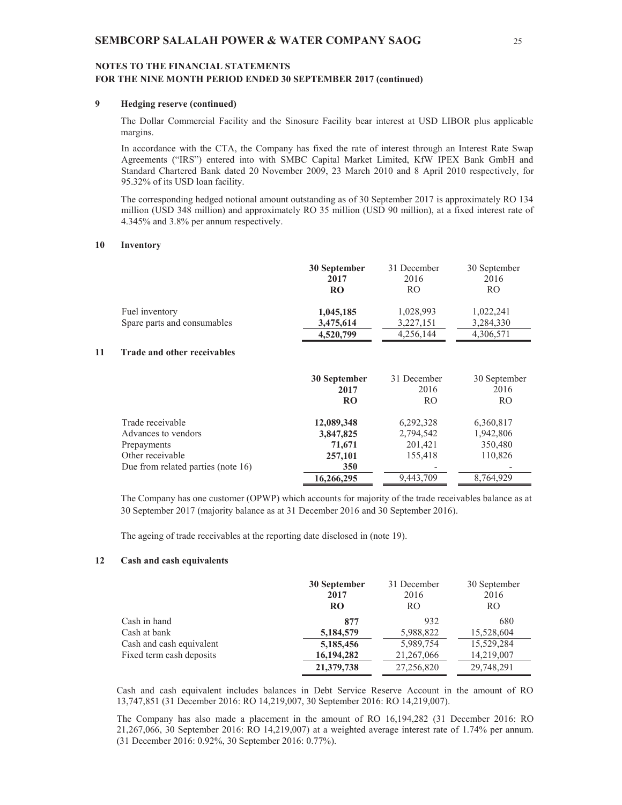### **9 Hedging reserve (continued)**

 The Dollar Commercial Facility and the Sinosure Facility bear interest at USD LIBOR plus applicable margins.

 In accordance with the CTA, the Company has fixed the rate of interest through an Interest Rate Swap Agreements ("IRS") entered into with SMBC Capital Market Limited, KfW IPEX Bank GmbH and Standard Chartered Bank dated 20 November 2009, 23 March 2010 and 8 April 2010 respectively, for 95.32% of its USD loan facility.

 The corresponding hedged notional amount outstanding as of 30 September 2017 is approximately RO 134 million (USD 348 million) and approximately RO 35 million (USD 90 million), at a fixed interest rate of 4.345% and 3.8% per annum respectively.

### **10 Inventory**

|                             | 30 September | 31 December | 30 September   |
|-----------------------------|--------------|-------------|----------------|
|                             | 2017         | 2016        | 2016           |
|                             | RO           | RO.         | R <sub>O</sub> |
| Fuel inventory              | 1,045,185    | 1,028,993   | 1,022,241      |
| Spare parts and consumables | 3,475,614    | 3,227,151   | 3,284,330      |
|                             | 4,520,799    | 4,256,144   | 4,306,571      |

### **11 Trade and other receivables**

|                                    | 30 September<br>2017<br><b>RO</b> | 31 December<br>2016<br>RO. | 30 September<br>2016<br>R <sub>O</sub> |
|------------------------------------|-----------------------------------|----------------------------|----------------------------------------|
| Trade receivable                   | 12,089,348                        | 6,292,328                  | 6,360,817                              |
| Advances to vendors                | 3,847,825                         | 2,794,542                  | 1,942,806                              |
| Prepayments                        | 71,671                            | 201,421                    | 350,480                                |
| Other receivable                   | 257,101                           | 155,418                    | 110,826                                |
| Due from related parties (note 16) | 350                               |                            |                                        |
|                                    | 16,266,295                        | 9,443,709                  | 8,764,929                              |

The Company has one customer (OPWP) which accounts for majority of the trade receivables balance as at 30 September 2017 (majority balance as at 31 December 2016 and 30 September 2016).

The ageing of trade receivables at the reporting date disclosed in (note 19).

#### **12 Cash and cash equivalents**

|                          | 30 September<br>2017<br>RO | 31 December<br>2016<br>RO. | 30 September<br>2016<br>RO |
|--------------------------|----------------------------|----------------------------|----------------------------|
| Cash in hand             | 877                        | 932                        | 680                        |
| Cash at bank             | 5, 184, 579                | 5,988,822                  | 15,528,604                 |
| Cash and cash equivalent | 5,185,456                  | 5,989,754                  | 15,529,284                 |
| Fixed term cash deposits | 16, 194, 282               | 21,267,066                 | 14,219,007                 |
|                          | 21,379,738                 | 27,256,820                 | 29,748,291                 |

Cash and cash equivalent includes balances in Debt Service Reserve Account in the amount of RO 13,747,851 (31 December 2016: RO 14,219,007, 30 September 2016: RO 14,219,007).

The Company has also made a placement in the amount of RO 16,194,282 (31 December 2016: RO 21,267,066, 30 September 2016: RO 14,219,007) at a weighted average interest rate of 1.74% per annum. (31 December 2016: 0.92%, 30 September 2016: 0.77%).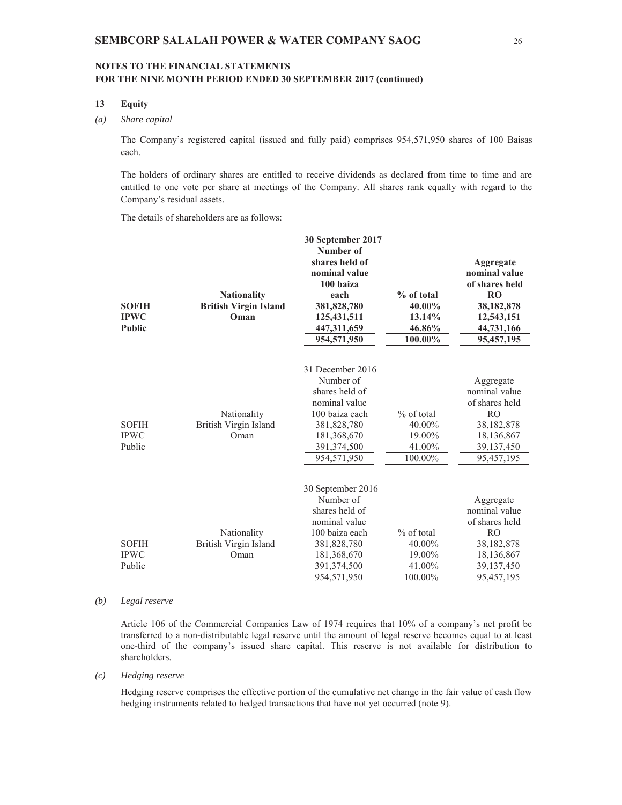#### **13 Equity**

*(a) Share capital*

The Company's registered capital (issued and fully paid) comprises 954,571,950 shares of 100 Baisas each.

The holders of ordinary shares are entitled to receive dividends as declared from time to time and are entitled to one vote per share at meetings of the Company. All shares rank equally with regard to the Company's residual assets.

The details of shareholders are as follows:

| <b>SOFIH</b><br><b>IPWC</b><br><b>Public</b> | <b>Nationality</b><br><b>British Virgin Island</b><br>Oman | 30 September 2017<br>Number of<br>shares held of<br>nominal value<br>100 baiza<br>each<br>381,828,780<br>125,431,511<br>447,311,659<br>954,571,950 | % of total<br>40.00%<br>13.14%<br>46.86%<br>100.00%   | <b>Aggregate</b><br>nominal value<br>of shares held<br>R <sub>O</sub><br>38, 182, 878<br>12,543,151<br>44,731,166<br>95,457,195 |
|----------------------------------------------|------------------------------------------------------------|----------------------------------------------------------------------------------------------------------------------------------------------------|-------------------------------------------------------|---------------------------------------------------------------------------------------------------------------------------------|
| <b>SOFIH</b><br><b>IPWC</b><br>Public        | Nationality<br>British Virgin Island<br>Oman               | 31 December 2016<br>Number of<br>shares held of<br>nominal value<br>100 baiza each<br>381,828,780<br>181,368,670<br>391,374,500<br>954,571,950     | $%$ of total<br>40.00%<br>19.00%<br>41.00%<br>100.00% | Aggregate<br>nominal value<br>of shares held<br><b>RO</b><br>38, 182, 878<br>18,136,867<br>39,137,450<br>95,457,195             |
| <b>SOFIH</b><br><b>IPWC</b><br>Public        | Nationality<br>British Virgin Island<br>Oman               | 30 September 2016<br>Number of<br>shares held of<br>nominal value<br>100 baiza each<br>381,828,780<br>181,368,670<br>391,374,500<br>954,571,950    | $%$ of total<br>40.00%<br>19.00%<br>41.00%<br>100.00% | Aggregate<br>nominal value<br>of shares held<br>R <sub>O</sub><br>38, 182, 878<br>18,136,867<br>39,137,450<br>95,457,195        |

### *(b) Legal reserve*

Article 106 of the Commercial Companies Law of 1974 requires that 10% of a company's net profit be transferred to a non-distributable legal reserve until the amount of legal reserve becomes equal to at least one-third of the company's issued share capital. This reserve is not available for distribution to shareholders.

*(c) Hedging reserve* 

Hedging reserve comprises the effective portion of the cumulative net change in the fair value of cash flow hedging instruments related to hedged transactions that have not yet occurred (note 9).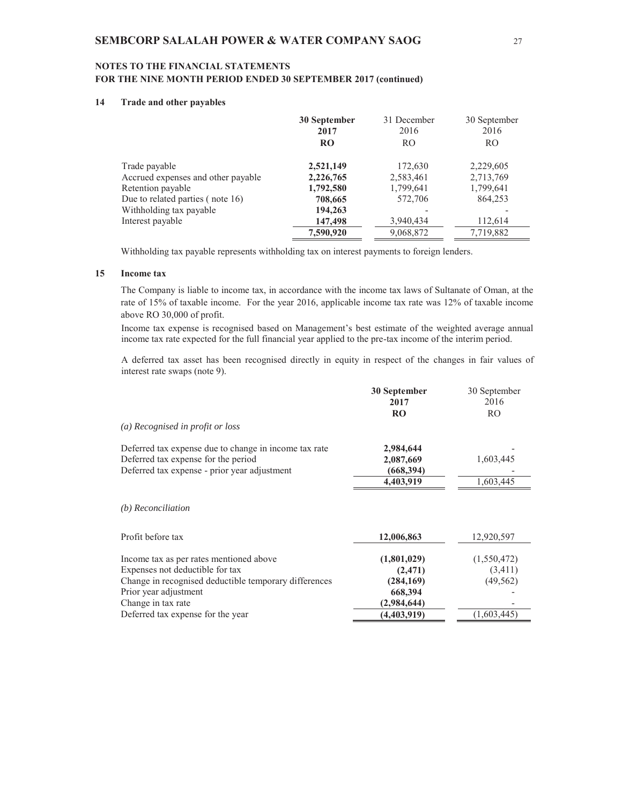# **14 Trade and other payables**

|                                    | 30 September<br>2017<br><b>RO</b> | 31 December<br>2016<br>R <sub>O</sub> | 30 September<br>2016<br>R <sub>O</sub> |
|------------------------------------|-----------------------------------|---------------------------------------|----------------------------------------|
| Trade payable                      | 2,521,149                         | 172,630                               | 2,229,605                              |
| Accrued expenses and other payable | 2,226,765                         | 2,583,461                             | 2,713,769                              |
| Retention payable                  | 1,792,580                         | 1,799,641                             | 1,799,641                              |
| Due to related parties (note 16)   | 708,665                           | 572,706                               | 864,253                                |
| Withholding tax payable            | 194,263                           |                                       |                                        |
| Interest payable                   | 147,498                           | 3,940,434                             | 112,614                                |
|                                    | 7,590,920                         | 9,068,872                             | 7,719,882                              |

Withholding tax payable represents withholding tax on interest payments to foreign lenders.

### **15 Income tax**

 The Company is liable to income tax, in accordance with the income tax laws of Sultanate of Oman, at the rate of 15% of taxable income. For the year 2016, applicable income tax rate was 12% of taxable income above RO 30,000 of profit.

Income tax expense is recognised based on Management's best estimate of the weighted average annual income tax rate expected for the full financial year applied to the pre-tax income of the interim period.

A deferred tax asset has been recognised directly in equity in respect of the changes in fair values of interest rate swaps (note 9).

|                                                       | 30 September<br>2017 | 30 September<br>2016 |
|-------------------------------------------------------|----------------------|----------------------|
|                                                       | <b>RO</b>            | R <sub>O</sub>       |
|                                                       |                      |                      |
| (a) Recognised in profit or loss                      |                      |                      |
| Deferred tax expense due to change in income tax rate | 2,984,644            |                      |
| Deferred tax expense for the period                   | 2,087,669            | 1,603,445            |
| Deferred tax expense - prior year adjustment          | (668, 394)           |                      |
|                                                       | 4,403,919            | 1,603,445            |
|                                                       |                      |                      |
| (b) Reconciliation                                    |                      |                      |
| Profit before tax                                     | 12,006,863           | 12,920,597           |
| Income tax as per rates mentioned above               | (1,801,029)          | (1,550,472)          |
| Expenses not deductible for tax                       | (2, 471)             | (3,411)              |
| Change in recognised deductible temporary differences | (284, 169)           | (49, 562)            |
| Prior year adjustment                                 | 668,394              |                      |
| Change in tax rate                                    | (2,984,644)          |                      |
| Deferred tax expense for the year                     | (4, 403, 919)        | (1,603,445)          |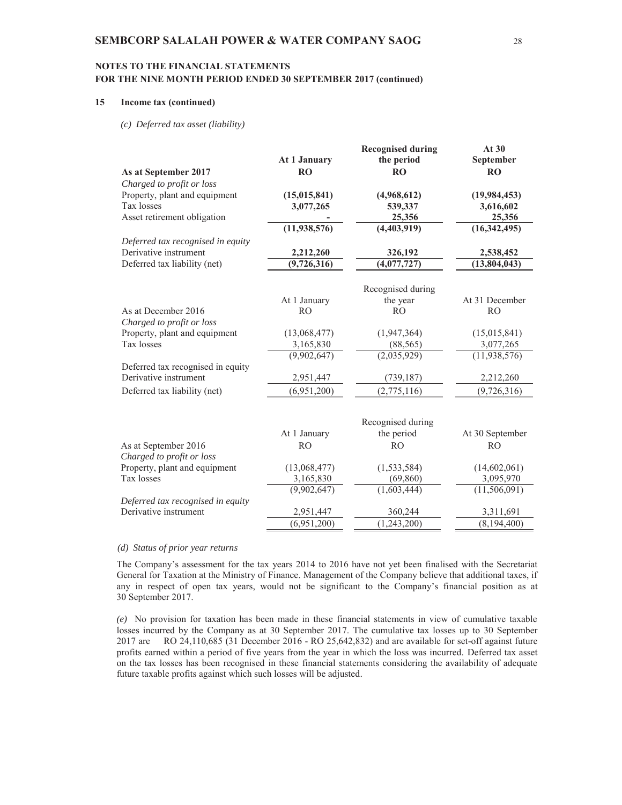#### **15 Income tax (continued)**

*(c) Deferred tax asset (liability)* 

|                                   | At 1 January   | <b>Recognised during</b><br>the period | At 30<br>September |
|-----------------------------------|----------------|----------------------------------------|--------------------|
| As at September 2017              | RO             | <b>RO</b>                              | <b>RO</b>          |
| Charged to profit or loss         |                |                                        |                    |
| Property, plant and equipment     | (15, 015, 841) | (4,968,612)                            | (19,984,453)       |
| Tax losses                        | 3,077,265      | 539,337                                | 3,616,602          |
| Asset retirement obligation       |                | 25,356                                 | 25,356             |
|                                   | (11, 938, 576) | (4,403,919)                            | (16,342,495)       |
| Deferred tax recognised in equity |                |                                        |                    |
| Derivative instrument             | 2,212,260      | 326,192                                | 2,538,452          |
| Deferred tax liability (net)      | (9, 726, 316)  | (4,077,727)                            | (13,804,043)       |
|                                   |                | Recognised during                      |                    |
|                                   | At 1 January   | the year                               | At 31 December     |
| As at December 2016               | <b>RO</b>      | RO                                     | <b>RO</b>          |
| Charged to profit or loss         |                |                                        |                    |
| Property, plant and equipment     | (13,068,477)   | (1,947,364)                            | (15,015,841)       |
| Tax losses                        | 3,165,830      | (88, 565)                              | 3,077,265          |
|                                   | (9,902,647)    | (2,035,929)                            | (11, 938, 576)     |
| Deferred tax recognised in equity |                |                                        |                    |
| Derivative instrument             | 2,951,447      | (739, 187)                             | 2,212,260          |
| Deferred tax liability (net)      | (6,951,200)    | (2,775,116)                            | (9, 726, 316)      |
|                                   |                |                                        |                    |
|                                   |                | Recognised during                      |                    |
|                                   | At 1 January   | the period                             | At 30 September    |
| As at September 2016              | RO             | R <sub>O</sub>                         | <b>RO</b>          |
| Charged to profit or loss         |                |                                        |                    |
| Property, plant and equipment     | (13,068,477)   | (1, 533, 584)                          | (14,602,061)       |
| Tax losses                        | 3,165,830      | (69, 860)                              | 3,095,970          |
|                                   | (9,902,647)    | (1,603,444)                            | (11,506,091)       |
| Deferred tax recognised in equity |                |                                        |                    |
| Derivative instrument             | 2,951,447      | 360,244                                | 3,311,691          |
|                                   | (6,951,200)    | (1,243,200)                            | (8,194,400)        |

### *(d) Status of prior year returns*

The Company's assessment for the tax years 2014 to 2016 have not yet been finalised with the Secretariat General for Taxation at the Ministry of Finance. Management of the Company believe that additional taxes, if any in respect of open tax years, would not be significant to the Company's financial position as at 30 September 2017.

*(e)* No provision for taxation has been made in these financial statements in view of cumulative taxable losses incurred by the Company as at 30 September 2017. The cumulative tax losses up to 30 September 2017 are RO 24,110,685 (31 December 2016 - RO 25,642,832) and are available for set-off against future profits earned within a period of five years from the year in which the loss was incurred. Deferred tax asset on the tax losses has been recognised in these financial statements considering the availability of adequate future taxable profits against which such losses will be adjusted.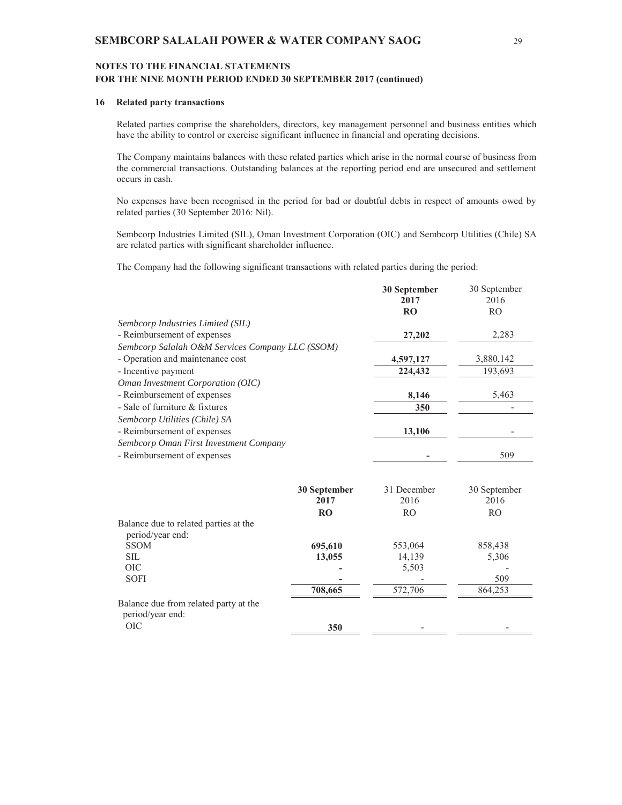#### **16 Related party transactions**

Related parties comprise the shareholders, directors, key management personnel and business entities which have the ability to control or exercise significant influence in financial and operating decisions.

The Company maintains balances with these related parties which arise in the normal course of business from the commercial transactions. Outstanding balances at the reporting period end are unsecured and settlement occurs in cash.

No expenses have been recognised in the period for bad or doubtful debts in respect of amounts owed by related parties (30 September 2016: Nil).

Sembcorp Industries Limited (SIL), Oman Investment Corporation (OIC) and Sembcorp Utilities (Chile) SA are related parties with significant shareholder influence.

The Company had the following significant transactions with related parties during the period:

|                                                           |              | 30 September<br>2017<br>RO | 30 September<br>2016<br><b>RO</b> |
|-----------------------------------------------------------|--------------|----------------------------|-----------------------------------|
| Sembcorp Industries Limited (SIL)                         |              |                            |                                   |
| - Reimbursement of expenses                               |              | 27,202                     | 2,283                             |
| Sembcorp Salalah O&M Services Company LLC (SSOM)          |              |                            |                                   |
| - Operation and maintenance cost                          |              | 4,597,127                  | 3,880,142                         |
| - Incentive payment                                       |              | 224,432                    | 193,693                           |
| Oman Investment Corporation (OIC)                         |              |                            |                                   |
| - Reimbursement of expenses                               |              | 8,146                      | 5,463                             |
| - Sale of furniture $\&$ fixtures                         |              | 350                        |                                   |
| Sembcorp Utilities (Chile) SA                             |              |                            |                                   |
| - Reimbursement of expenses                               |              | 13,106                     |                                   |
| Sembcorp Oman First Investment Company                    |              |                            |                                   |
| - Reimbursement of expenses                               |              |                            | 509                               |
|                                                           |              |                            |                                   |
|                                                           | 30 September | 31 December                | 30 September                      |
|                                                           | 2017         | 2016                       | 2016                              |
|                                                           | <b>RO</b>    | R <sub>O</sub>             | R <sub>O</sub>                    |
| Balance due to related parties at the<br>period/year end: |              |                            |                                   |
| <b>SSOM</b>                                               | 695,610      | 553,064                    | 858,438                           |
| <b>SIL</b>                                                | 13,055       | 14,139                     | 5,306                             |
| <b>OIC</b>                                                |              | 5,503                      |                                   |
| <b>SOFI</b>                                               |              |                            | 509                               |
|                                                           | 708,665      | 572,706                    | 864,253                           |
| Balance due from related party at the<br>period/year end: |              |                            |                                   |
| OIC                                                       | 350          |                            |                                   |
|                                                           |              |                            |                                   |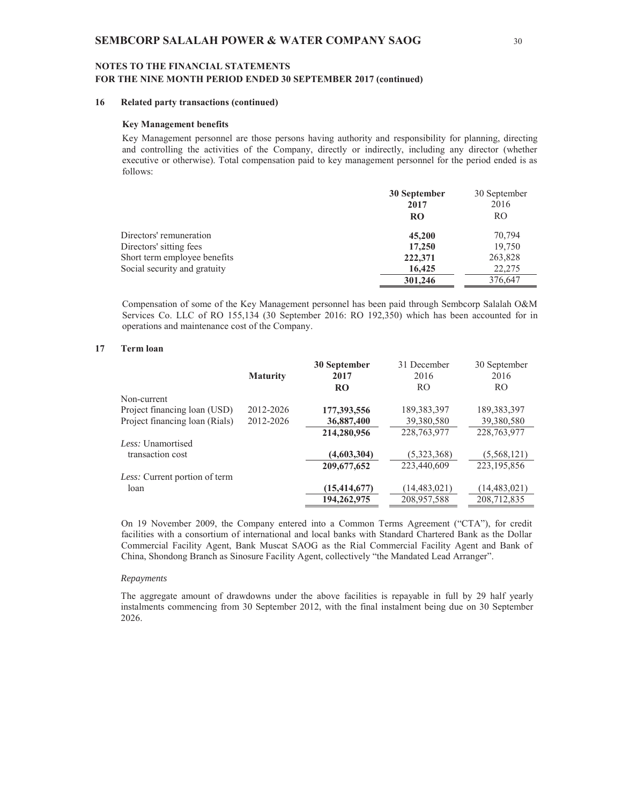#### **16 Related party transactions (continued)**

#### **Key Management benefits**

Key Management personnel are those persons having authority and responsibility for planning, directing and controlling the activities of the Company, directly or indirectly, including any director (whether executive or otherwise). Total compensation paid to key management personnel for the period ended is as follows:

|                                                         | 30 September<br>2017<br><b>RO</b> | 30 September<br>2016<br>RO. |
|---------------------------------------------------------|-----------------------------------|-----------------------------|
| Directors' remuneration                                 | 45,200                            | 70,794                      |
| Directors' sitting fees<br>Short term employee benefits | 17,250                            | 19,750<br>263,828           |
| Social security and gratuity                            | 222,371<br>16,425                 | 22,275                      |
|                                                         | 301,246                           | 376,647                     |

Compensation of some of the Key Management personnel has been paid through Sembcorp Salalah O&M Services Co. LLC of RO 155,134 (30 September 2016: RO 192,350) which has been accounted for in operations and maintenance cost of the Company.

### **17 Term loan**

|                 | 30 September   | 31 December    | 30 September   |
|-----------------|----------------|----------------|----------------|
| <b>Maturity</b> | 2017           | 2016           | 2016           |
|                 | <b>RO</b>      | R <sub>O</sub> | RO.            |
|                 |                |                |                |
| 2012-2026       | 177,393,556    | 189, 383, 397  | 189, 383, 397  |
| 2012-2026       | 36,887,400     | 39,380,580     | 39,380,580     |
|                 | 214,280,956    | 228, 763, 977  | 228, 763, 977  |
|                 |                |                |                |
|                 | (4,603,304)    | (5,323,368)    | (5,568,121)    |
|                 | 209, 677, 652  | 223,440,609    | 223, 195, 856  |
|                 |                |                |                |
|                 | (15, 414, 677) | (14, 483, 021) | (14, 483, 021) |
|                 | 194,262,975    | 208,957,588    | 208,712,835    |
|                 |                |                |                |

On 19 November 2009, the Company entered into a Common Terms Agreement ("CTA"), for credit facilities with a consortium of international and local banks with Standard Chartered Bank as the Dollar Commercial Facility Agent, Bank Muscat SAOG as the Rial Commercial Facility Agent and Bank of China, Shondong Branch as Sinosure Facility Agent, collectively "the Mandated Lead Arranger".

#### *Repayments*

The aggregate amount of drawdowns under the above facilities is repayable in full by 29 half yearly instalments commencing from 30 September 2012, with the final instalment being due on 30 September 2026.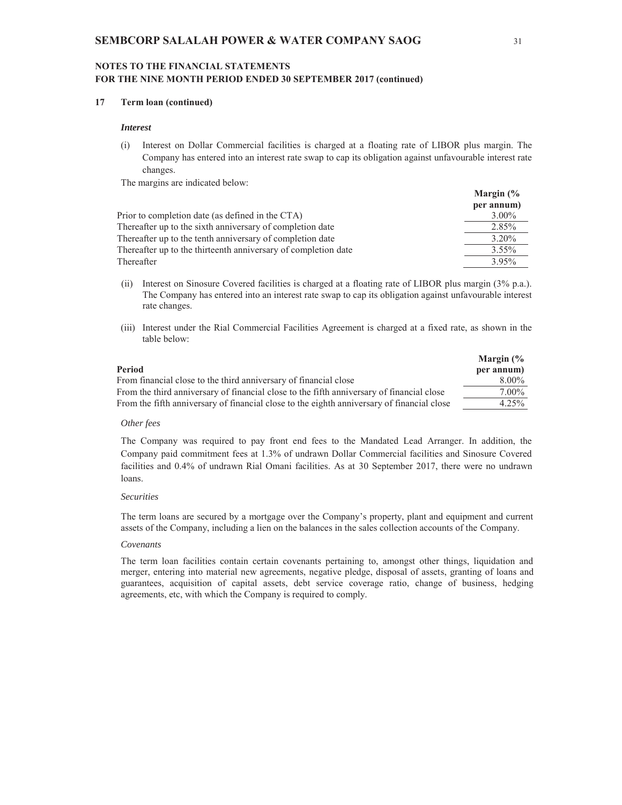### **17 Term loan (continued)**

#### *Interest*

(i) Interest on Dollar Commercial facilities is charged at a floating rate of LIBOR plus margin. The Company has entered into an interest rate swap to cap its obligation against unfavourable interest rate changes.

The margins are indicated below:

|                                                                | $\cdots$<br>per annum) |
|----------------------------------------------------------------|------------------------|
| Prior to completion date (as defined in the CTA)               | $3.00\%$               |
| Thereafter up to the sixth anniversary of completion date      | 2.85%                  |
| Thereafter up to the tenth anniversary of completion date      | 3.20%                  |
| Thereafter up to the thirteenth anniversary of completion date | $3.55\%$               |
| Thereafter                                                     | 3.95%                  |

- (ii) Interest on Sinosure Covered facilities is charged at a floating rate of LIBOR plus margin (3% p.a.). The Company has entered into an interest rate swap to cap its obligation against unfavourable interest rate changes.
- (iii) Interest under the Rial Commercial Facilities Agreement is charged at a fixed rate, as shown in the table below:

|                                                                                            | Margin $\frac{6}{6}$ |
|--------------------------------------------------------------------------------------------|----------------------|
| Period                                                                                     | per annum)           |
| From financial close to the third anniversary of financial close                           | 8.00%                |
| From the third anniversary of financial close to the fifth anniversary of financial close  | 7.00%                |
| From the fifth anniversary of financial close to the eighth anniversary of financial close | 4.25%                |

#### *Other fees*

The Company was required to pay front end fees to the Mandated Lead Arranger. In addition, the Company paid commitment fees at 1.3% of undrawn Dollar Commercial facilities and Sinosure Covered facilities and 0.4% of undrawn Rial Omani facilities. As at 30 September 2017, there were no undrawn loans.

#### *Securities*

The term loans are secured by a mortgage over the Company's property, plant and equipment and current assets of the Company, including a lien on the balances in the sales collection accounts of the Company.

#### *Covenants*

The term loan facilities contain certain covenants pertaining to, amongst other things, liquidation and merger, entering into material new agreements, negative pledge, disposal of assets, granting of loans and guarantees, acquisition of capital assets, debt service coverage ratio, change of business, hedging agreements, etc, with which the Company is required to comply.

**Margin (%**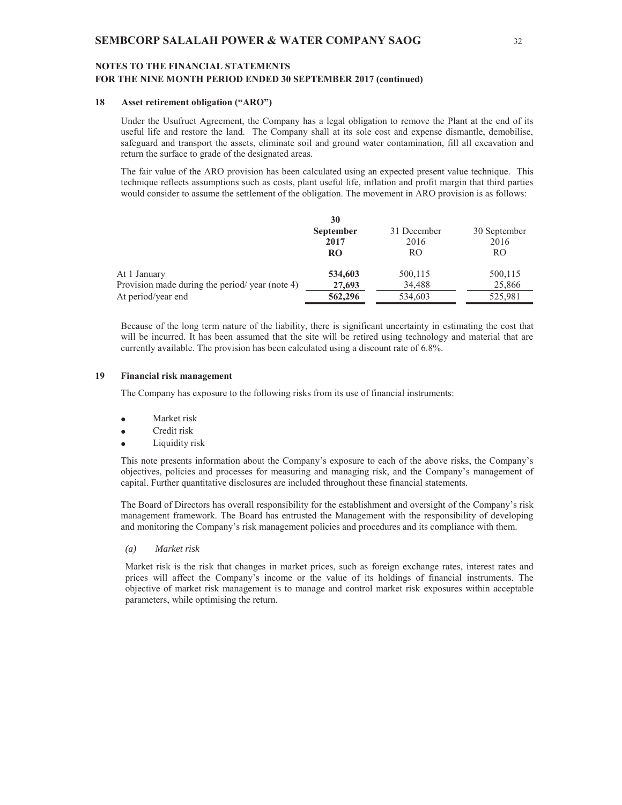#### **18 Asset retirement obligation ("ARO")**

Under the Usufruct Agreement, the Company has a legal obligation to remove the Plant at the end of its useful life and restore the land. The Company shall at its sole cost and expense dismantle, demobilise, safeguard and transport the assets, eliminate soil and ground water contamination, fill all excavation and return the surface to grade of the designated areas.

The fair value of the ARO provision has been calculated using an expected present value technique. This technique reflects assumptions such as costs, plant useful life, inflation and profit margin that third parties would consider to assume the settlement of the obligation. The movement in ARO provision is as follows:

|                                                | 30               |                |              |
|------------------------------------------------|------------------|----------------|--------------|
|                                                | <b>September</b> | 31 December    | 30 September |
|                                                | 2017             | 2016           | 2016         |
|                                                | <b>RO</b>        | R <sub>O</sub> | RO.          |
| At 1 January                                   | 534,603          | 500,115        | 500,115      |
| Provision made during the period/year (note 4) | 27,693           | 34,488         | 25,866       |
| At period/year end                             | 562,296          | 534,603        | 525,981      |

Because of the long term nature of the liability, there is significant uncertainty in estimating the cost that will be incurred. It has been assumed that the site will be retired using technology and material that are currently available. The provision has been calculated using a discount rate of 6.8%.

### **19 Financial risk management**

The Company has exposure to the following risks from its use of financial instruments:

- Market risk
- Credit risk
- Liquidity risk

This note presents information about the Company's exposure to each of the above risks, the Company's objectives, policies and processes for measuring and managing risk, and the Company's management of capital. Further quantitative disclosures are included throughout these financial statements.

The Board of Directors has overall responsibility for the establishment and oversight of the Company's risk management framework. The Board has entrusted the Management with the responsibility of developing and monitoring the Company's risk management policies and procedures and its compliance with them.

#### *(a) Market risk*

Market risk is the risk that changes in market prices, such as foreign exchange rates, interest rates and prices will affect the Company's income or the value of its holdings of financial instruments. The objective of market risk management is to manage and control market risk exposures within acceptable parameters, while optimising the return.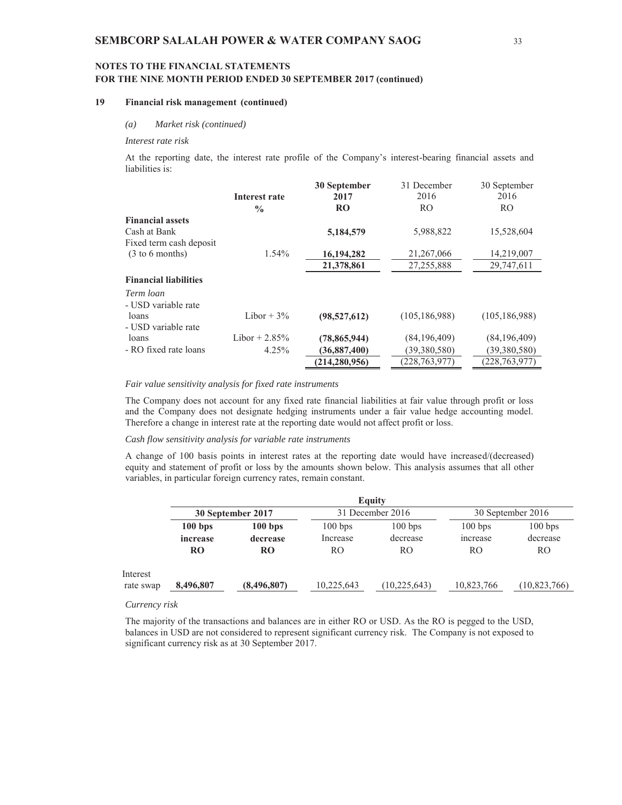#### **19 Financial risk management (continued)**

### *(a) Market risk (continued)*

*Interest rate risk* 

At the reporting date, the interest rate profile of the Company's interest-bearing financial assets and liabilities is:

|                                    |                  | 30 September    | 31 December     | 30 September    |
|------------------------------------|------------------|-----------------|-----------------|-----------------|
|                                    | Interest rate    | 2017            | 2016            | 2016            |
|                                    | $\frac{0}{0}$    | <b>RO</b>       | RO.             | RO.             |
| <b>Financial assets</b>            |                  |                 |                 |                 |
| Cash at Bank                       |                  | 5,184,579       | 5,988,822       | 15,528,604      |
| Fixed term cash deposit            |                  |                 |                 |                 |
| $(3 \text{ to } 6 \text{ months})$ | 1.54%            | 16, 194, 282    | 21,267,066      | 14,219,007      |
|                                    |                  | 21,378,861      | 27,255,888      | 29,747,611      |
| <b>Financial liabilities</b>       |                  |                 |                 |                 |
| Term loan                          |                  |                 |                 |                 |
| - USD variable rate                |                  |                 |                 |                 |
| loans                              | Libor $+3\%$     | (98, 527, 612)  | (105, 186, 988) | (105, 186, 988) |
| - USD variable rate                |                  |                 |                 |                 |
| loans                              | Libor + $2.85\%$ | (78, 865, 944)  | (84, 196, 409)  | (84, 196, 409)  |
| - RO fixed rate loans              | 4.25%            | (36,887,400)    | (39, 380, 580)  | (39,380,580)    |
|                                    |                  | (214, 280, 956) | (228, 763, 977) | (228, 763, 977) |

#### *Fair value sensitivity analysis for fixed rate instruments*

The Company does not account for any fixed rate financial liabilities at fair value through profit or loss and the Company does not designate hedging instruments under a fair value hedge accounting model. Therefore a change in interest rate at the reporting date would not affect profit or loss.

#### *Cash flow sensitivity analysis for variable rate instruments*

A change of 100 basis points in interest rates at the reporting date would have increased/(decreased) equity and statement of profit or loss by the amounts shown below. This analysis assumes that all other variables, in particular foreign currency rates, remain constant.

|           |           |                   |            | <b>Equity</b>    |            |                   |
|-----------|-----------|-------------------|------------|------------------|------------|-------------------|
|           |           | 30 September 2017 |            | 31 December 2016 |            | 30 September 2016 |
|           | 100 bps   | 100 bps           | 100 bps    | 100 bps          | 100 bps    | 100 bps           |
|           | increase  | decrease          | Increase   | decrease         | increase   | decrease          |
|           | RO        | <b>RO</b>         | RO.        | RO.              | RO.        | RO.               |
| Interest  |           |                   |            |                  |            |                   |
| rate swap | 8,496,807 | (8, 496, 807)     | 10,225,643 | (10, 225, 643)   | 10,823,766 | (10, 823, 766)    |

#### *Currency risk*

The majority of the transactions and balances are in either RO or USD. As the RO is pegged to the USD, balances in USD are not considered to represent significant currency risk. The Company is not exposed to significant currency risk as at 30 September 2017.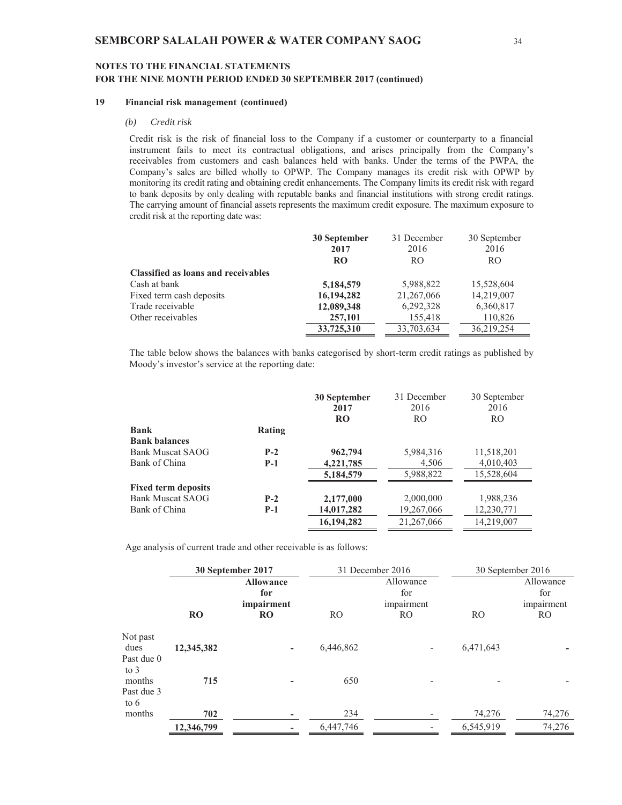#### **19 Financial risk management (continued)**

#### *(b) Credit risk*

 Credit risk is the risk of financial loss to the Company if a customer or counterparty to a financial instrument fails to meet its contractual obligations, and arises principally from the Company's receivables from customers and cash balances held with banks. Under the terms of the PWPA, the Company's sales are billed wholly to OPWP. The Company manages its credit risk with OPWP by monitoring its credit rating and obtaining credit enhancements. The Company limits its credit risk with regard to bank deposits by only dealing with reputable banks and financial institutions with strong credit ratings. The carrying amount of financial assets represents the maximum credit exposure. The maximum exposure to credit risk at the reporting date was:

|                                            | 30 September | 31 December  | 30 September |
|--------------------------------------------|--------------|--------------|--------------|
|                                            | 2017         | 2016         | 2016         |
|                                            | RO.          | RO.          | RO.          |
| <b>Classified as loans and receivables</b> |              |              |              |
| Cash at bank                               | 5,184,579    | 5,988,822    | 15,528,604   |
| Fixed term cash deposits                   | 16, 194, 282 | 21, 267, 066 | 14,219,007   |
| Trade receivable                           | 12,089,348   | 6,292,328    | 6,360,817    |
| Other receivables                          | 257,101      | 155,418      | 110,826      |
|                                            | 33,725,310   | 33,703,634   | 36,219,254   |

 The table below shows the balances with banks categorised by short-term credit ratings as published by Moody's investor's service at the reporting date:

|                            |        | 30 September | 31 December    | 30 September   |
|----------------------------|--------|--------------|----------------|----------------|
|                            |        | 2017         | 2016           | 2016           |
|                            |        | <b>RO</b>    | R <sub>O</sub> | R <sub>O</sub> |
| <b>Bank</b>                | Rating |              |                |                |
| <b>Bank balances</b>       |        |              |                |                |
| <b>Bank Muscat SAOG</b>    | $P-2$  | 962,794      | 5,984,316      | 11,518,201     |
| Bank of China              | $P-1$  | 4,221,785    | 4,506          | 4,010,403      |
|                            |        | 5,184,579    | 5,988,822      | 15,528,604     |
| <b>Fixed term deposits</b> |        |              |                |                |
| <b>Bank Muscat SAOG</b>    | $P-2$  | 2,177,000    | 2,000,000      | 1,988,236      |
| Bank of China              | $P-1$  | 14,017,282   | 19,267,066     | 12,230,771     |
|                            |        | 16, 194, 282 | 21,267,066     | 14,219,007     |

Age analysis of current trade and other receivable is as follows:

|                                          | 30 September 2017 |                                                    |                | 31 December 2016                                 |                | 30 September 2016                                |  |
|------------------------------------------|-------------------|----------------------------------------------------|----------------|--------------------------------------------------|----------------|--------------------------------------------------|--|
|                                          | RO                | <b>Allowance</b><br>for<br>impairment<br><b>RO</b> | R <sub>O</sub> | Allowance<br>for<br>impairment<br>R <sub>O</sub> | R <sub>O</sub> | Allowance<br>for<br>impairment<br>R <sub>O</sub> |  |
| Not past<br>dues<br>Past due 0<br>to $3$ | 12,345,382        |                                                    | 6,446,862      |                                                  | 6,471,643      |                                                  |  |
| months<br>Past due 3<br>to 6             | 715               |                                                    | 650            |                                                  |                |                                                  |  |
| months                                   | 702               |                                                    | 234            |                                                  | 74,276         | 74,276                                           |  |
|                                          | 12,346,799        |                                                    | 6,447,746      |                                                  | 6,545,919      | 74,276                                           |  |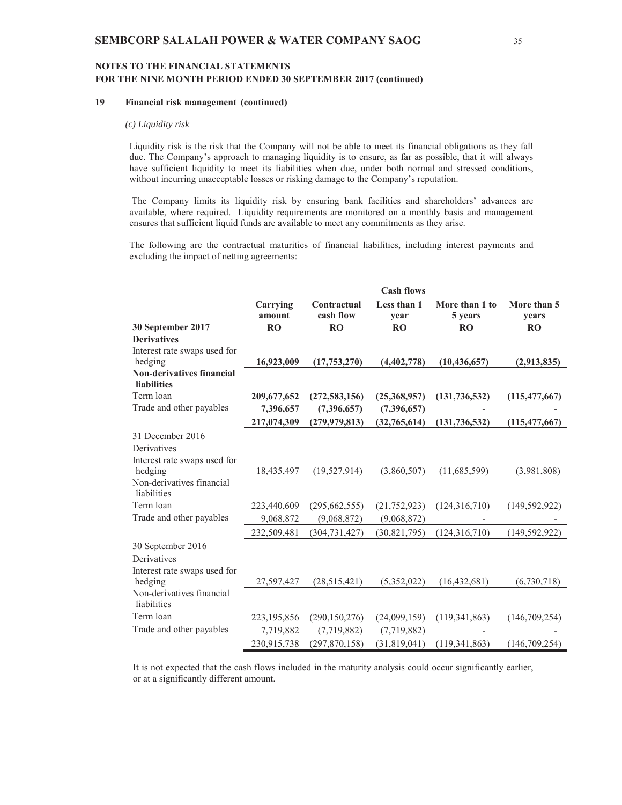#### **19 Financial risk management (continued)**

#### *(c) Liquidity risk*

Liquidity risk is the risk that the Company will not be able to meet its financial obligations as they fall due. The Company's approach to managing liquidity is to ensure, as far as possible, that it will always have sufficient liquidity to meet its liabilities when due, under both normal and stressed conditions, without incurring unacceptable losses or risking damage to the Company's reputation.

The Company limits its liquidity risk by ensuring bank facilities and shareholders' advances are available, where required. Liquidity requirements are monitored on a monthly basis and management ensures that sufficient liquid funds are available to meet any commitments as they arise.

The following are the contractual maturities of financial liabilities, including interest payments and excluding the impact of netting agreements:

|                                                        | <b>Cash flows</b>  |                          |                     |                           |                      |
|--------------------------------------------------------|--------------------|--------------------------|---------------------|---------------------------|----------------------|
|                                                        | Carrying<br>amount | Contractual<br>cash flow | Less than 1<br>vear | More than 1 to<br>5 years | More than 5<br>years |
| 30 September 2017                                      | <b>RO</b>          | RO                       | <b>RO</b>           | R <sub>O</sub>            | RO                   |
| <b>Derivatives</b>                                     |                    |                          |                     |                           |                      |
| Interest rate swaps used for                           |                    |                          |                     |                           |                      |
| hedging                                                | 16,923,009         | (17,753,270)             | (4, 402, 778)       | (10, 436, 657)            | (2,913,835)          |
| <b>Non-derivatives financial</b><br><b>liabilities</b> |                    |                          |                     |                           |                      |
| Term loan                                              | 209,677,652        | (272, 583, 156)          | (25,368,957)        | (131, 736, 532)           | (115, 477, 667)      |
| Trade and other payables                               | 7,396,657          | (7,396,657)              | (7,396,657)         |                           |                      |
|                                                        | 217,074,309        | (279, 979, 813)          | (32, 765, 614)      | (131, 736, 532)           | (115, 477, 667)      |
| 31 December 2016                                       |                    |                          |                     |                           |                      |
| Derivatives                                            |                    |                          |                     |                           |                      |
| Interest rate swaps used for<br>hedging                | 18,435,497         | (19,527,914)             | (3,860,507)         | (11,685,599)              | (3,981,808)          |
| Non-derivatives financial<br>liabilities               |                    |                          |                     |                           |                      |
| Term loan                                              | 223,440,609        | (295,662,555)            | (21, 752, 923)      | (124,316,710)             | (149, 592, 922)      |
| Trade and other payables                               | 9,068,872          | (9,068,872)              | (9,068,872)         |                           |                      |
|                                                        | 232,509,481        | (304, 731, 427)          | (30, 821, 795)      | (124,316,710)             | (149, 592, 922)      |
| 30 September 2016                                      |                    |                          |                     |                           |                      |
| Derivatives                                            |                    |                          |                     |                           |                      |
| Interest rate swaps used for                           |                    |                          |                     |                           |                      |
| hedging                                                | 27,597,427         | (28, 515, 421)           | (5,352,022)         | (16, 432, 681)            | (6,730,718)          |
| Non-derivatives financial<br>liabilities               |                    |                          |                     |                           |                      |
| Term loan                                              | 223,195,856        | (290, 150, 276)          | (24,099,159)        | (119,341,863)             | (146,709,254)        |
| Trade and other payables                               | 7,719,882          | (7,719,882)              | (7,719,882)         |                           |                      |
|                                                        | 230,915,738        | (297, 870, 158)          | (31,819,041)        | (119,341,863)             | (146,709,254)        |

It is not expected that the cash flows included in the maturity analysis could occur significantly earlier, or at a significantly different amount.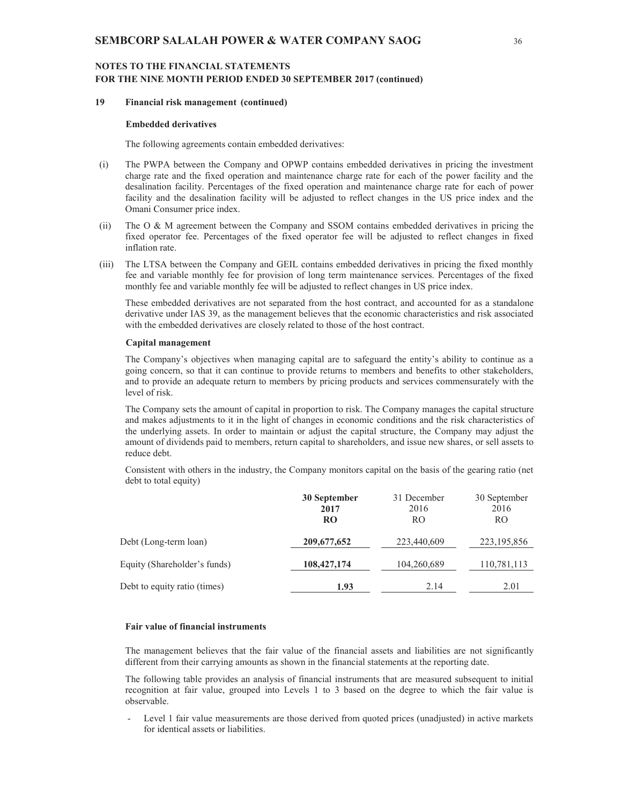#### **19 Financial risk management (continued)**

#### **Embedded derivatives**

The following agreements contain embedded derivatives:

- (i) The PWPA between the Company and OPWP contains embedded derivatives in pricing the investment charge rate and the fixed operation and maintenance charge rate for each of the power facility and the desalination facility. Percentages of the fixed operation and maintenance charge rate for each of power facility and the desalination facility will be adjusted to reflect changes in the US price index and the Omani Consumer price index.
- (ii) The O & M agreement between the Company and SSOM contains embedded derivatives in pricing the fixed operator fee. Percentages of the fixed operator fee will be adjusted to reflect changes in fixed inflation rate.
- (iii) The LTSA between the Company and GEIL contains embedded derivatives in pricing the fixed monthly fee and variable monthly fee for provision of long term maintenance services. Percentages of the fixed monthly fee and variable monthly fee will be adjusted to reflect changes in US price index.

These embedded derivatives are not separated from the host contract, and accounted for as a standalone derivative under IAS 39, as the management believes that the economic characteristics and risk associated with the embedded derivatives are closely related to those of the host contract.

#### **Capital management**

The Company's objectives when managing capital are to safeguard the entity's ability to continue as a going concern, so that it can continue to provide returns to members and benefits to other stakeholders, and to provide an adequate return to members by pricing products and services commensurately with the level of risk.

The Company sets the amount of capital in proportion to risk. The Company manages the capital structure and makes adjustments to it in the light of changes in economic conditions and the risk characteristics of the underlying assets. In order to maintain or adjust the capital structure, the Company may adjust the amount of dividends paid to members, return capital to shareholders, and issue new shares, or sell assets to reduce debt.

Consistent with others in the industry, the Company monitors capital on the basis of the gearing ratio (net debt to total equity)

|                              | 30 September<br>2017<br><b>RO</b> | 31 December<br>2016<br>RO. | 30 September<br>2016<br>RO. |
|------------------------------|-----------------------------------|----------------------------|-----------------------------|
| Debt (Long-term loan)        | 209,677,652                       | 223,440,609                | 223, 195, 856               |
| Equity (Shareholder's funds) | 108,427,174                       | 104,260,689                | 110,781,113                 |
| Debt to equity ratio (times) | 1.93                              | 2.14                       | 2.01                        |

### **Fair value of financial instruments**

 The management believes that the fair value of the financial assets and liabilities are not significantly different from their carrying amounts as shown in the financial statements at the reporting date.

The following table provides an analysis of financial instruments that are measured subsequent to initial recognition at fair value, grouped into Levels 1 to 3 based on the degree to which the fair value is observable.

Level 1 fair value measurements are those derived from quoted prices (unadjusted) in active markets for identical assets or liabilities.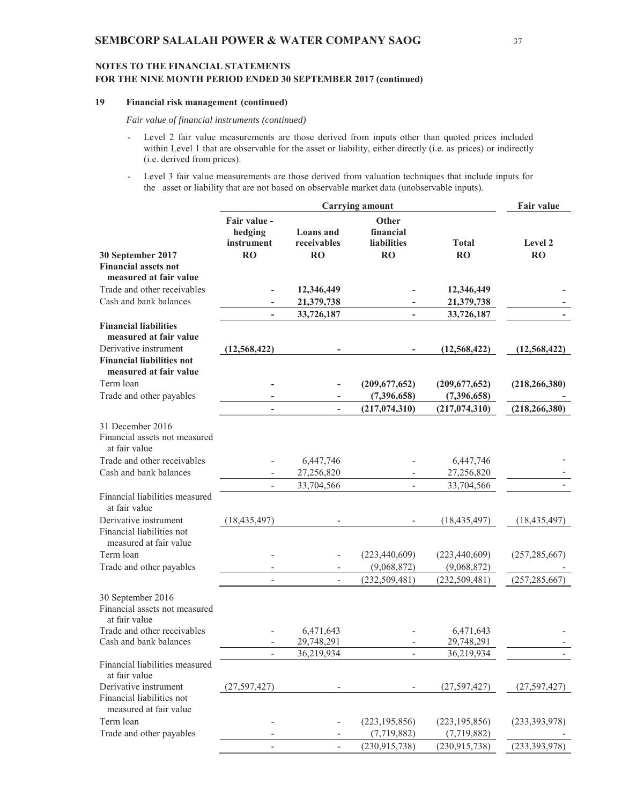### **19 Financial risk management (continued)**

#### *Fair value of financial instruments (continued)*

- Level 2 fair value measurements are those derived from inputs other than quoted prices included within Level 1 that are observable for the asset or liability, either directly (i.e. as prices) or indirectly (i.e. derived from prices).
- Level 3 fair value measurements are those derived from valuation techniques that include inputs for the asset or liability that are not based on observable market data (unobservable inputs).

|                                                                                     | <b>Carrying amount</b>                                  |                                |                                                |                           | Fair value           |  |
|-------------------------------------------------------------------------------------|---------------------------------------------------------|--------------------------------|------------------------------------------------|---------------------------|----------------------|--|
| 30 September 2017<br><b>Financial assets not</b>                                    | Fair value -<br>hedging<br>instrument<br>R <sub>O</sub> | Loans and<br>receivables<br>RO | Other<br>financial<br>liabilities<br><b>RO</b> | <b>Total</b><br><b>RO</b> | Level 2<br><b>RO</b> |  |
| measured at fair value                                                              |                                                         |                                |                                                |                           |                      |  |
| Trade and other receivables<br>Cash and bank balances                               |                                                         | 12,346,449                     |                                                | 12,346,449                |                      |  |
|                                                                                     |                                                         | 21,379,738<br>33,726,187       |                                                | 21,379,738<br>33,726,187  |                      |  |
| <b>Financial liabilities</b><br>measured at fair value                              |                                                         |                                |                                                |                           |                      |  |
| Derivative instrument<br><b>Financial liabilities not</b><br>measured at fair value | (12,568,422)                                            |                                |                                                | (12, 568, 422)            | (12, 568, 422)       |  |
| Term loan                                                                           |                                                         |                                | (209, 677, 652)                                | (209,677,652)             | (218, 266, 380)      |  |
| Trade and other payables                                                            |                                                         |                                | (7,396,658)                                    | (7,396,658)               |                      |  |
|                                                                                     | ÷,                                                      | $\overline{\phantom{0}}$       | (217, 074, 310)                                | (217, 074, 310)           | (218, 266, 380)      |  |
| 31 December 2016<br>Financial assets not measured<br>at fair value                  |                                                         |                                |                                                |                           |                      |  |
| Trade and other receivables                                                         |                                                         | 6,447,746                      |                                                | 6,447,746                 |                      |  |
| Cash and bank balances                                                              |                                                         | 27,256,820                     |                                                | 27,256,820                |                      |  |
|                                                                                     |                                                         | 33,704,566                     |                                                | 33,704,566                |                      |  |
| Financial liabilities measured<br>at fair value                                     |                                                         |                                |                                                |                           |                      |  |
| Derivative instrument<br>Financial liabilities not<br>measured at fair value        | (18, 435, 497)                                          |                                |                                                | (18, 435, 497)            | (18, 435, 497)       |  |
| Term loan                                                                           |                                                         |                                | (223, 440, 609)                                | (223, 440, 609)           | (257, 285, 667)      |  |
| Trade and other payables                                                            |                                                         |                                | (9,068,872)                                    | (9,068,872)               |                      |  |
|                                                                                     |                                                         |                                | (232, 509, 481)                                | (232, 509, 481)           | (257, 285, 667)      |  |
| 30 September 2016<br>Financial assets not measured<br>at fair value                 |                                                         |                                |                                                |                           |                      |  |
| Trade and other receivables                                                         |                                                         | 6,471,643                      |                                                | 6,471,643                 |                      |  |
| Cash and bank balances                                                              |                                                         | 29,748,291                     |                                                | 29,748,291                |                      |  |
| Financial liabilities measured<br>at fair value                                     |                                                         | 36,219,934                     |                                                | 36,219,934                |                      |  |
| Derivative instrument                                                               | (27, 597, 427)                                          |                                |                                                | (27, 597, 427)            | (27, 597, 427)       |  |
| Financial liabilities not<br>measured at fair value                                 |                                                         |                                |                                                |                           |                      |  |
| Term loan                                                                           |                                                         |                                | (223, 195, 856)                                | (223, 195, 856)           | (233, 393, 978)      |  |
| Trade and other payables                                                            |                                                         |                                | (7,719,882)                                    | (7,719,882)               |                      |  |
|                                                                                     |                                                         |                                | (230,915,738)                                  | (230, 915, 738)           | (233, 393, 978)      |  |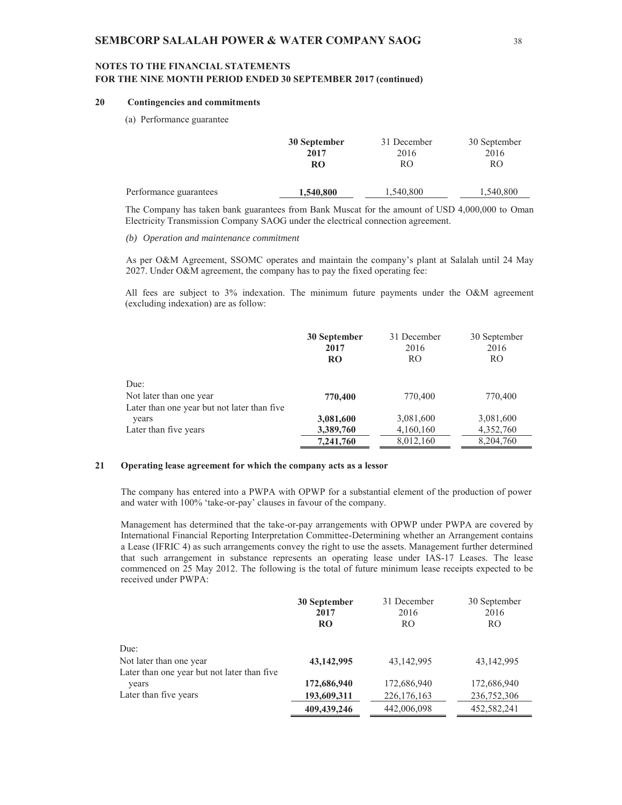#### **20 Contingencies and commitments**

(a) Performance guarantee

|                        | 30 September | 31 December | 30 September |
|------------------------|--------------|-------------|--------------|
|                        | 2017         | 2016        | 2016         |
|                        | <b>RO</b>    | RO.         | RO           |
| Performance guarantees | 1,540,800    | 1,540,800   | 1,540,800    |

The Company has taken bank guarantees from Bank Muscat for the amount of USD 4,000,000 to Oman Electricity Transmission Company SAOG under the electrical connection agreement.

#### *(b) Operation and maintenance commitment*

As per O&M Agreement, SSOMC operates and maintain the company's plant at Salalah until 24 May 2027. Under O&M agreement, the company has to pay the fixed operating fee:

All fees are subject to 3% indexation. The minimum future payments under the O&M agreement (excluding indexation) are as follow:

| 30 September<br>2017<br><b>RO</b> | 31 December<br>2016<br>RO. | 30 September<br>2016<br>R <sub>O</sub> |
|-----------------------------------|----------------------------|----------------------------------------|
|                                   |                            |                                        |
| 770,400                           | 770,400                    | 770,400                                |
|                                   |                            |                                        |
| 3,081,600                         | 3,081,600                  | 3,081,600                              |
| 3,389,760                         | 4,160,160                  | 4,352,760                              |
| 7,241,760                         | 8,012,160                  | 8,204,760                              |
|                                   |                            |                                        |

#### **21 Operating lease agreement for which the company acts as a lessor**

The company has entered into a PWPA with OPWP for a substantial element of the production of power and water with 100% 'take-or-pay' clauses in favour of the company.

Management has determined that the take-or-pay arrangements with OPWP under PWPA are covered by International Financial Reporting Interpretation Committee-Determining whether an Arrangement contains a Lease (IFRIC 4) as such arrangements convey the right to use the assets. Management further determined that such arrangement in substance represents an operating lease under IAS-17 Leases. The lease commenced on 25 May 2012. The following is the total of future minimum lease receipts expected to be received under PWPA:

|                                             | 30 September<br>2017<br><b>RO</b> | 31 December<br>2016<br>R <sub>O</sub> | 30 September<br>2016<br>R <sub>O</sub> |
|---------------------------------------------|-----------------------------------|---------------------------------------|----------------------------------------|
| Due:                                        |                                   |                                       |                                        |
| Not later than one year                     | 43,142,995                        | 43, 142, 995                          | 43, 142, 995                           |
| Later than one year but not later than five |                                   |                                       |                                        |
| years                                       | 172,686,940                       | 172,686,940                           | 172,686,940                            |
| Later than five years                       | 193,609,311                       | 226, 176, 163                         | 236,752,306                            |
|                                             | 409,439,246                       | 442,006,098                           | 452,582,241                            |